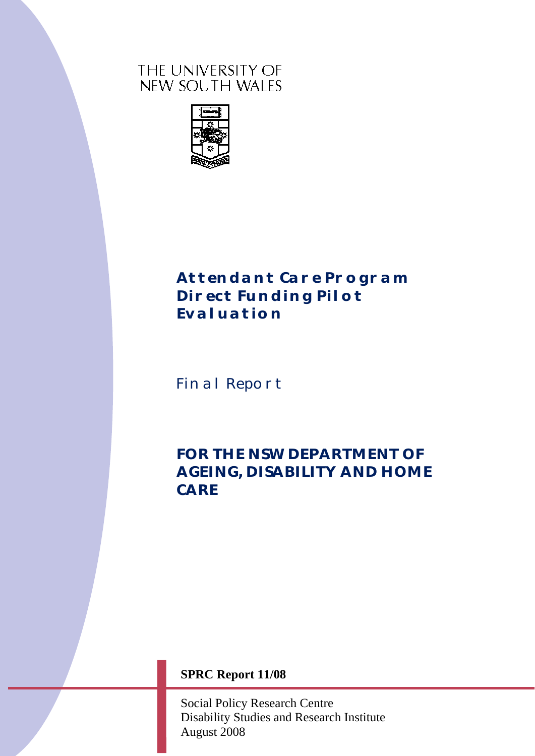# THE UNIVERSITY OF NEW SOUTH WALES



# *Attendant Care Program Direct Funding Pilot Evaluation*

Final Report

*FOR THE NSW DEPARTMENT OF AGEING, DISABILITY AND HOME CARE* 

**SPRC Report 11/08** 

Social Policy Research Centre Disability Studies and Research Institute August 2008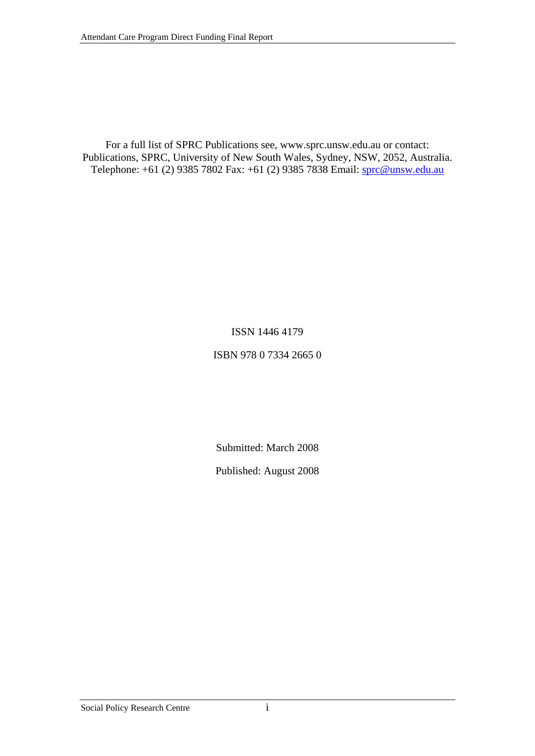For a full list of SPRC Publications see, www.sprc.unsw.edu.au or contact: Publications, SPRC, University of New South Wales, Sydney, NSW, 2052, Australia. Telephone: +61 (2) 9385 7802 Fax: +61 (2) 9385 7838 Email: [sprc@unsw.edu.au](mailto:sprc@unsw.edu.au)

#### ISSN 1446 4179

#### ISBN 978 0 7334 2665 0

Submitted: March 2008

Published: August 2008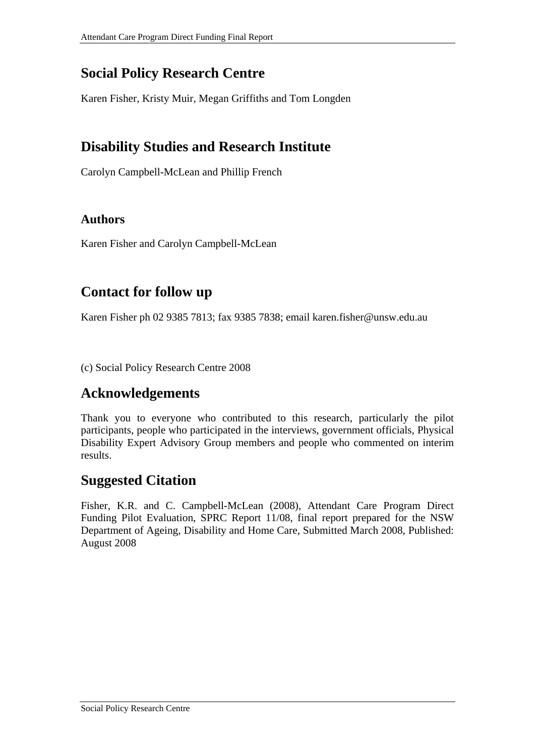# **Social Policy Research Centre**

Karen Fisher, Kristy Muir, Megan Griffiths and Tom Longden

# **Disability Studies and Research Institute**

Carolyn Campbell-McLean and Phillip French

# **Authors**

Karen Fisher and Carolyn Campbell-McLean

# **Contact for follow up**

Karen Fisher ph 02 9385 7813; fax 9385 7838; email karen.fisher@unsw.edu.au

(c) Social Policy Research Centre 2008

# **Acknowledgements**

Thank you to everyone who contributed to this research, particularly the pilot participants, people who participated in the interviews, government officials, Physical Disability Expert Advisory Group members and people who commented on interim results.

# **Suggested Citation**

Fisher, K.R. and C. Campbell-McLean (2008), Attendant Care Program Direct Funding Pilot Evaluation, SPRC Report 11/08, final report prepared for the NSW Department of Ageing, Disability and Home Care, Submitted March 2008, Published: August 2008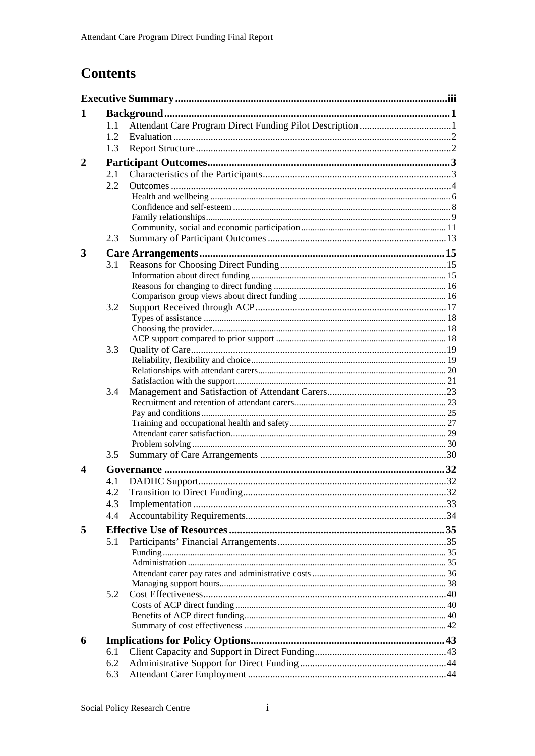# **Contents**

| 1                     |     |                              |  |
|-----------------------|-----|------------------------------|--|
|                       | 1.1 |                              |  |
|                       | 1.2 |                              |  |
|                       | 1.3 |                              |  |
| 2                     |     |                              |  |
|                       | 2.1 |                              |  |
|                       | 2.2 |                              |  |
|                       |     |                              |  |
|                       |     |                              |  |
|                       |     |                              |  |
|                       |     |                              |  |
|                       | 2.3 |                              |  |
| 3                     |     |                              |  |
|                       | 3.1 |                              |  |
|                       |     |                              |  |
|                       |     |                              |  |
|                       |     |                              |  |
|                       | 3.2 |                              |  |
|                       |     |                              |  |
|                       |     |                              |  |
|                       | 3.3 |                              |  |
|                       |     |                              |  |
|                       |     |                              |  |
|                       |     |                              |  |
|                       | 3.4 |                              |  |
|                       |     |                              |  |
|                       |     |                              |  |
|                       |     |                              |  |
|                       |     |                              |  |
|                       | 3.5 |                              |  |
| $\boldsymbol{\Delta}$ |     |                              |  |
|                       | 4.1 |                              |  |
|                       | 4.2 | Transition to Direct Funding |  |
|                       | 4.3 |                              |  |
|                       | 4.4 |                              |  |
|                       |     |                              |  |
| 5                     |     |                              |  |
|                       | 5.1 |                              |  |
|                       |     |                              |  |
|                       |     |                              |  |
|                       |     |                              |  |
|                       | 5.2 |                              |  |
|                       |     |                              |  |
|                       |     |                              |  |
|                       |     |                              |  |
| 6                     |     |                              |  |
|                       | 6.1 |                              |  |
|                       | 6.2 |                              |  |
|                       | 6.3 |                              |  |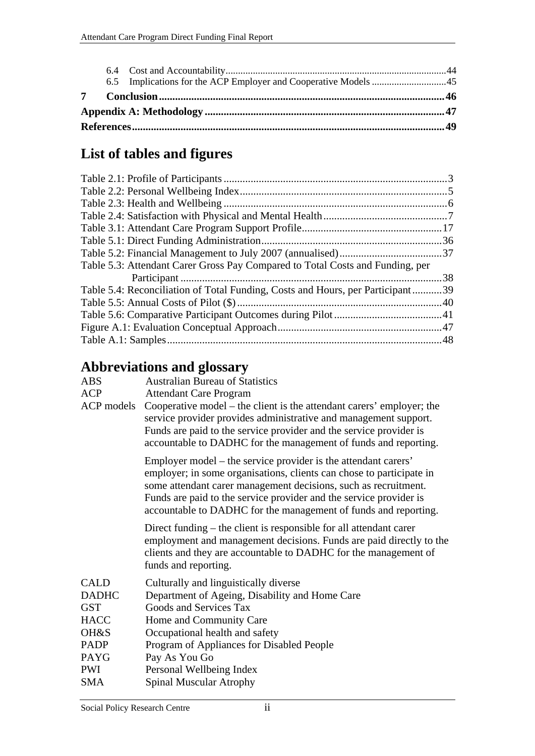| 7 |  |  |
|---|--|--|
|   |  |  |
|   |  |  |

# **List of tables and figures**

| Table 5.3: Attendant Carer Gross Pay Compared to Total Costs and Funding, per  |
|--------------------------------------------------------------------------------|
|                                                                                |
| Table 5.4: Reconciliation of Total Funding, Costs and Hours, per Participant39 |
|                                                                                |
|                                                                                |
|                                                                                |
|                                                                                |

# **Abbreviations and glossary**

| <b>ABS</b>   | <b>Australian Bureau of Statistics</b>                                                                                                                                                                                                                                                                                                             |  |  |  |  |
|--------------|----------------------------------------------------------------------------------------------------------------------------------------------------------------------------------------------------------------------------------------------------------------------------------------------------------------------------------------------------|--|--|--|--|
| <b>ACP</b>   | <b>Attendant Care Program</b>                                                                                                                                                                                                                                                                                                                      |  |  |  |  |
| ACP models   | Cooperative model – the client is the attendant carers' employer; the<br>service provider provides administrative and management support.<br>Funds are paid to the service provider and the service provider is<br>accountable to DADHC for the management of funds and reporting.                                                                 |  |  |  |  |
|              | Employer model – the service provider is the attendant carers'<br>employer; in some organisations, clients can chose to participate in<br>some attendant carer management decisions, such as recruitment.<br>Funds are paid to the service provider and the service provider is<br>accountable to DADHC for the management of funds and reporting. |  |  |  |  |
|              | Direct funding – the client is responsible for all attendant carer<br>employment and management decisions. Funds are paid directly to the<br>clients and they are accountable to DADHC for the management of<br>funds and reporting.                                                                                                               |  |  |  |  |
| <b>CALD</b>  | Culturally and linguistically diverse                                                                                                                                                                                                                                                                                                              |  |  |  |  |
| <b>DADHC</b> | Department of Ageing, Disability and Home Care                                                                                                                                                                                                                                                                                                     |  |  |  |  |
| <b>GST</b>   | Goods and Services Tax                                                                                                                                                                                                                                                                                                                             |  |  |  |  |
| <b>HACC</b>  | Home and Community Care                                                                                                                                                                                                                                                                                                                            |  |  |  |  |
| OH&S         | Occupational health and safety                                                                                                                                                                                                                                                                                                                     |  |  |  |  |
| <b>PADP</b>  | Program of Appliances for Disabled People                                                                                                                                                                                                                                                                                                          |  |  |  |  |
| PAYG         | Pay As You Go                                                                                                                                                                                                                                                                                                                                      |  |  |  |  |
| <b>PWI</b>   | Personal Wellbeing Index                                                                                                                                                                                                                                                                                                                           |  |  |  |  |
| <b>SMA</b>   | <b>Spinal Muscular Atrophy</b>                                                                                                                                                                                                                                                                                                                     |  |  |  |  |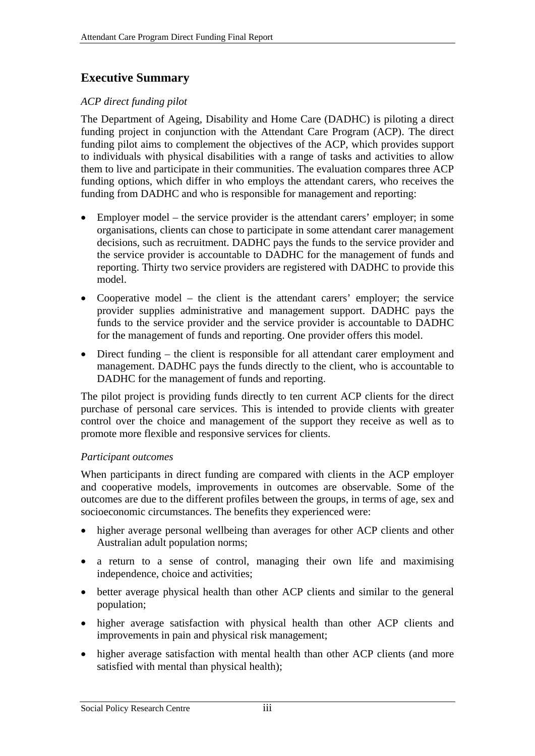# <span id="page-5-0"></span>**Executive Summary**

# *ACP direct funding pilot*

The Department of Ageing, Disability and Home Care (DADHC) is piloting a direct funding project in conjunction with the Attendant Care Program (ACP). The direct funding pilot aims to complement the objectives of the ACP, which provides support to individuals with physical disabilities with a range of tasks and activities to allow them to live and participate in their communities. The evaluation compares three ACP funding options, which differ in who employs the attendant carers, who receives the funding from DADHC and who is responsible for management and reporting:

- Employer model the service provider is the attendant carers' employer; in some organisations, clients can chose to participate in some attendant carer management decisions, such as recruitment. DADHC pays the funds to the service provider and the service provider is accountable to DADHC for the management of funds and reporting. Thirty two service providers are registered with DADHC to provide this model.
- Cooperative model the client is the attendant carers' employer; the service provider supplies administrative and management support. DADHC pays the funds to the service provider and the service provider is accountable to DADHC for the management of funds and reporting. One provider offers this model.
- Direct funding the client is responsible for all attendant carer employment and management. DADHC pays the funds directly to the client, who is accountable to DADHC for the management of funds and reporting.

The pilot project is providing funds directly to ten current ACP clients for the direct purchase of personal care services. This is intended to provide clients with greater control over the choice and management of the support they receive as well as to promote more flexible and responsive services for clients.

## *Participant outcomes*

When participants in direct funding are compared with clients in the ACP employer and cooperative models, improvements in outcomes are observable. Some of the outcomes are due to the different profiles between the groups, in terms of age, sex and socioeconomic circumstances. The benefits they experienced were:

- higher average personal wellbeing than averages for other ACP clients and other Australian adult population norms;
- a return to a sense of control, managing their own life and maximising independence, choice and activities;
- better average physical health than other ACP clients and similar to the general population;
- higher average satisfaction with physical health than other ACP clients and improvements in pain and physical risk management;
- higher average satisfaction with mental health than other ACP clients (and more satisfied with mental than physical health);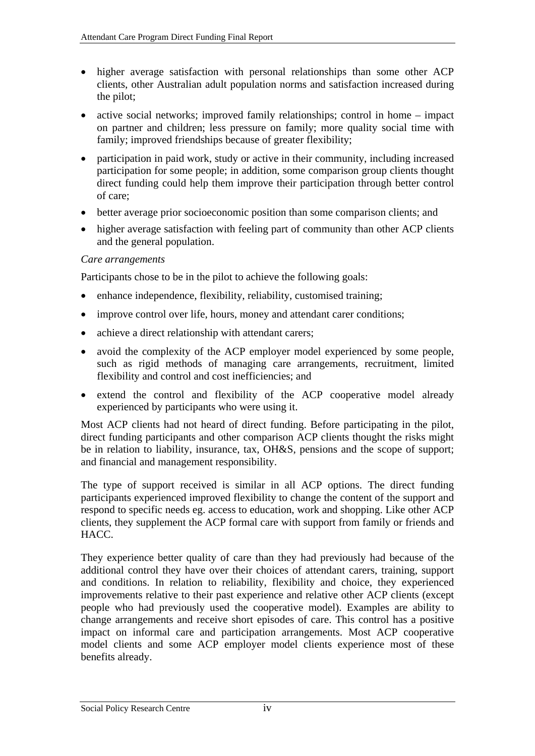- higher average satisfaction with personal relationships than some other ACP clients, other Australian adult population norms and satisfaction increased during the pilot;
- active social networks; improved family relationships; control in home impact on partner and children; less pressure on family; more quality social time with family; improved friendships because of greater flexibility;
- participation in paid work, study or active in their community, including increased participation for some people; in addition, some comparison group clients thought direct funding could help them improve their participation through better control of care;
- better average prior socioeconomic position than some comparison clients; and
- higher average satisfaction with feeling part of community than other ACP clients and the general population.

#### *Care arrangements*

Participants chose to be in the pilot to achieve the following goals:

- enhance independence, flexibility, reliability, customised training;
- improve control over life, hours, money and attendant carer conditions;
- achieve a direct relationship with attendant carers;
- avoid the complexity of the ACP employer model experienced by some people, such as rigid methods of managing care arrangements, recruitment, limited flexibility and control and cost inefficiencies; and
- extend the control and flexibility of the ACP cooperative model already experienced by participants who were using it.

Most ACP clients had not heard of direct funding. Before participating in the pilot, direct funding participants and other comparison ACP clients thought the risks might be in relation to liability, insurance, tax, OH&S, pensions and the scope of support; and financial and management responsibility.

The type of support received is similar in all ACP options. The direct funding participants experienced improved flexibility to change the content of the support and respond to specific needs eg. access to education, work and shopping. Like other ACP clients, they supplement the ACP formal care with support from family or friends and HACC.

They experience better quality of care than they had previously had because of the additional control they have over their choices of attendant carers, training, support and conditions. In relation to reliability, flexibility and choice, they experienced improvements relative to their past experience and relative other ACP clients (except people who had previously used the cooperative model). Examples are ability to change arrangements and receive short episodes of care. This control has a positive impact on informal care and participation arrangements. Most ACP cooperative model clients and some ACP employer model clients experience most of these benefits already.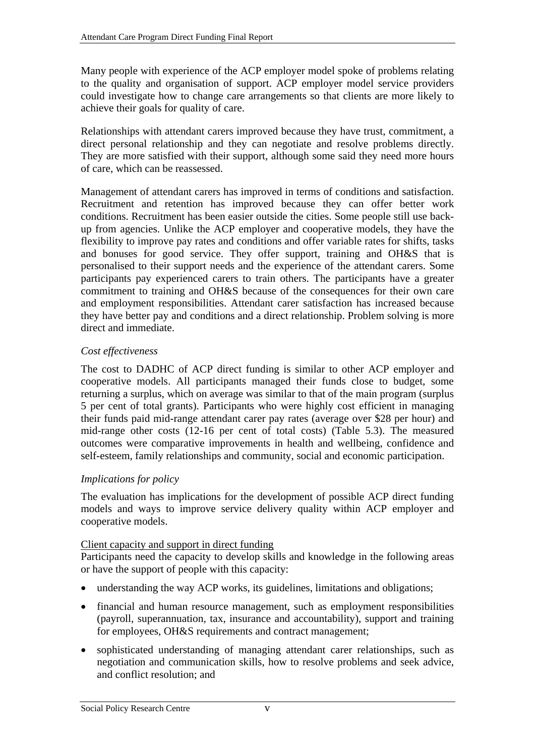Many people with experience of the ACP employer model spoke of problems relating to the quality and organisation of support. ACP employer model service providers could investigate how to change care arrangements so that clients are more likely to achieve their goals for quality of care.

Relationships with attendant carers improved because they have trust, commitment, a direct personal relationship and they can negotiate and resolve problems directly. They are more satisfied with their support, although some said they need more hours of care, which can be reassessed.

Management of attendant carers has improved in terms of conditions and satisfaction. Recruitment and retention has improved because they can offer better work conditions. Recruitment has been easier outside the cities. Some people still use backup from agencies. Unlike the ACP employer and cooperative models, they have the flexibility to improve pay rates and conditions and offer variable rates for shifts, tasks and bonuses for good service. They offer support, training and OH&S that is personalised to their support needs and the experience of the attendant carers. Some participants pay experienced carers to train others. The participants have a greater commitment to training and OH&S because of the consequences for their own care and employment responsibilities. Attendant carer satisfaction has increased because they have better pay and conditions and a direct relationship. Problem solving is more direct and immediate.

## *Cost effectiveness*

The cost to DADHC of ACP direct funding is similar to other ACP employer and cooperative models. All participants managed their funds close to budget, some returning a surplus, which on average was similar to that of the main program (surplus 5 per cent of total grants). Participants who were highly cost efficient in managing their funds paid mid-range attendant carer pay rates (average over \$28 per hour) and mid-range other costs (12-16 per cent of total costs) [\(Table 5.3\)](#page-47-1). The measured outcomes were comparative improvements in health and wellbeing, confidence and self-esteem, family relationships and community, social and economic participation.

## *Implications for policy*

The evaluation has implications for the development of possible ACP direct funding models and ways to improve service delivery quality within ACP employer and cooperative models.

## Client capacity and support in direct funding

Participants need the capacity to develop skills and knowledge in the following areas or have the support of people with this capacity:

- understanding the way ACP works, its guidelines, limitations and obligations;
- financial and human resource management, such as employment responsibilities (payroll, superannuation, tax, insurance and accountability), support and training for employees, OH&S requirements and contract management;
- sophisticated understanding of managing attendant carer relationships, such as negotiation and communication skills, how to resolve problems and seek advice, and conflict resolution; and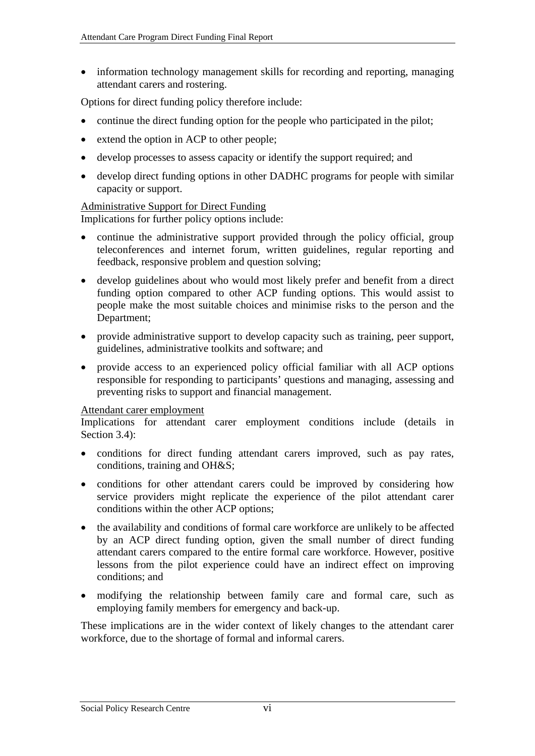• information technology management skills for recording and reporting, managing attendant carers and rostering.

Options for direct funding policy therefore include:

- continue the direct funding option for the people who participated in the pilot;
- extend the option in ACP to other people;
- develop processes to assess capacity or identify the support required; and
- develop direct funding options in other DADHC programs for people with similar capacity or support.

#### Administrative Support for Direct Funding

Implications for further policy options include:

- continue the administrative support provided through the policy official, group teleconferences and internet forum, written guidelines, regular reporting and feedback, responsive problem and question solving;
- develop guidelines about who would most likely prefer and benefit from a direct funding option compared to other ACP funding options. This would assist to people make the most suitable choices and minimise risks to the person and the Department;
- provide administrative support to develop capacity such as training, peer support, guidelines, administrative toolkits and software; and
- provide access to an experienced policy official familiar with all ACP options responsible for responding to participants' questions and managing, assessing and preventing risks to support and financial management.

#### Attendant carer employment

Implications for attendant carer employment conditions include (details in Section 3.4):

- conditions for direct funding attendant carers improved, such as pay rates, conditions, training and OH&S;
- conditions for other attendant carers could be improved by considering how service providers might replicate the experience of the pilot attendant carer conditions within the other ACP options;
- the availability and conditions of formal care workforce are unlikely to be affected by an ACP direct funding option, given the small number of direct funding attendant carers compared to the entire formal care workforce. However, positive lessons from the pilot experience could have an indirect effect on improving conditions; and
- modifying the relationship between family care and formal care, such as employing family members for emergency and back-up.

These implications are in the wider context of likely changes to the attendant carer workforce, due to the shortage of formal and informal carers.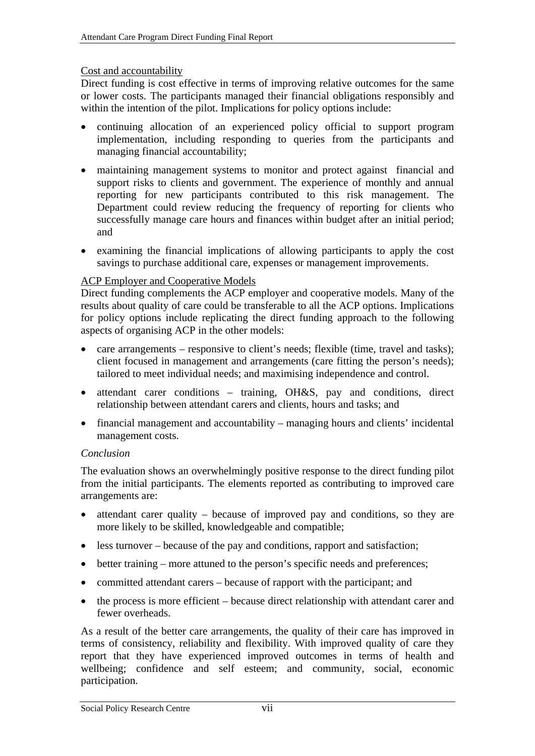#### Cost and accountability

Direct funding is cost effective in terms of improving relative outcomes for the same or lower costs. The participants managed their financial obligations responsibly and within the intention of the pilot. Implications for policy options include:

- continuing allocation of an experienced policy official to support program implementation, including responding to queries from the participants and managing financial accountability;
- maintaining management systems to monitor and protect against financial and support risks to clients and government. The experience of monthly and annual reporting for new participants contributed to this risk management. The Department could review reducing the frequency of reporting for clients who successfully manage care hours and finances within budget after an initial period; and
- examining the financial implications of allowing participants to apply the cost savings to purchase additional care, expenses or management improvements.

#### ACP Employer and Cooperative Models

Direct funding complements the ACP employer and cooperative models. Many of the results about quality of care could be transferable to all the ACP options. Implications for policy options include replicating the direct funding approach to the following aspects of organising ACP in the other models:

- care arrangements responsive to client's needs; flexible (time, travel and tasks); client focused in management and arrangements (care fitting the person's needs); tailored to meet individual needs; and maximising independence and control.
- attendant carer conditions training, OH&S, pay and conditions, direct relationship between attendant carers and clients, hours and tasks; and
- financial management and accountability managing hours and clients' incidental management costs.

#### *Conclusion*

The evaluation shows an overwhelmingly positive response to the direct funding pilot from the initial participants. The elements reported as contributing to improved care arrangements are:

- attendant carer quality because of improved pay and conditions, so they are more likely to be skilled, knowledgeable and compatible;
- less turnover because of the pay and conditions, rapport and satisfaction;
- better training more attuned to the person's specific needs and preferences;
- committed attendant carers because of rapport with the participant; and
- the process is more efficient because direct relationship with attendant carer and fewer overheads.

As a result of the better care arrangements, the quality of their care has improved in terms of consistency, reliability and flexibility. With improved quality of care they report that they have experienced improved outcomes in terms of health and wellbeing; confidence and self esteem; and community, social, economic participation.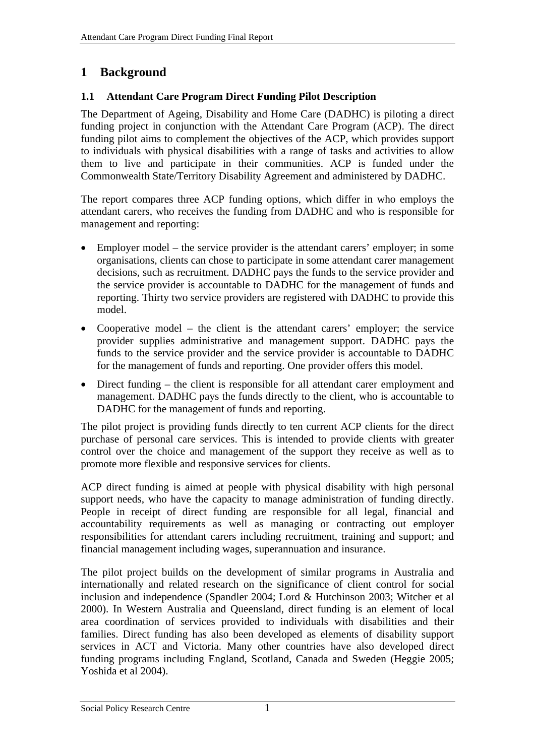# <span id="page-10-0"></span>**1 Background**

# **1.1 Attendant Care Program Direct Funding Pilot Description**

The Department of Ageing, Disability and Home Care (DADHC) is piloting a direct funding project in conjunction with the Attendant Care Program (ACP). The direct funding pilot aims to complement the objectives of the ACP, which provides support to individuals with physical disabilities with a range of tasks and activities to allow them to live and participate in their communities. ACP is funded under the Commonwealth State/Territory Disability Agreement and administered by DADHC.

The report compares three ACP funding options, which differ in who employs the attendant carers, who receives the funding from DADHC and who is responsible for management and reporting:

- Employer model the service provider is the attendant carers' employer; in some organisations, clients can chose to participate in some attendant carer management decisions, such as recruitment. DADHC pays the funds to the service provider and the service provider is accountable to DADHC for the management of funds and reporting. Thirty two service providers are registered with DADHC to provide this model.
- Cooperative model the client is the attendant carers' employer; the service provider supplies administrative and management support. DADHC pays the funds to the service provider and the service provider is accountable to DADHC for the management of funds and reporting. One provider offers this model.
- Direct funding the client is responsible for all attendant carer employment and management. DADHC pays the funds directly to the client, who is accountable to DADHC for the management of funds and reporting.

The pilot project is providing funds directly to ten current ACP clients for the direct purchase of personal care services. This is intended to provide clients with greater control over the choice and management of the support they receive as well as to promote more flexible and responsive services for clients.

ACP direct funding is aimed at people with physical disability with high personal support needs, who have the capacity to manage administration of funding directly. People in receipt of direct funding are responsible for all legal, financial and accountability requirements as well as managing or contracting out employer responsibilities for attendant carers including recruitment, training and support; and financial management including wages, superannuation and insurance.

The pilot project builds on the development of similar programs in Australia and internationally and related research on the significance of client control for social inclusion and independence (Spandler 2004; Lord & Hutchinson 2003; Witcher et al 2000). In Western Australia and Queensland, direct funding is an element of local area coordination of services provided to individuals with disabilities and their families. Direct funding has also been developed as elements of disability support services in ACT and Victoria. Many other countries have also developed direct funding programs including England, Scotland, Canada and Sweden (Heggie 2005; Yoshida et al 2004).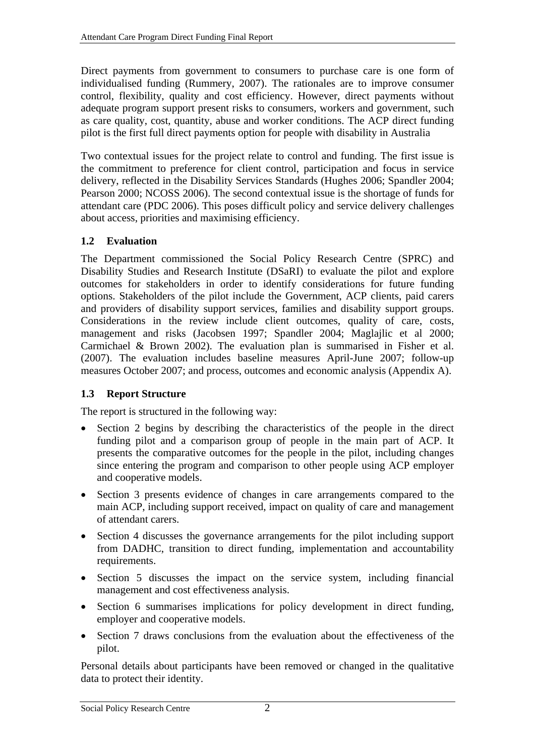<span id="page-11-0"></span>Direct payments from government to consumers to purchase care is one form of individualised funding (Rummery, 2007). The rationales are to improve consumer control, flexibility, quality and cost efficiency. However, direct payments without adequate program support present risks to consumers, workers and government, such as care quality, cost, quantity, abuse and worker conditions. The ACP direct funding pilot is the first full direct payments option for people with disability in Australia

Two contextual issues for the project relate to control and funding. The first issue is the commitment to preference for client control, participation and focus in service delivery, reflected in the Disability Services Standards (Hughes 2006; Spandler 2004; Pearson 2000; NCOSS 2006). The second contextual issue is the shortage of funds for attendant care (PDC 2006). This poses difficult policy and service delivery challenges about access, priorities and maximising efficiency.

# **1.2 Evaluation**

The Department commissioned the Social Policy Research Centre (SPRC) and Disability Studies and Research Institute (DSaRI) to evaluate the pilot and explore outcomes for stakeholders in order to identify considerations for future funding options. Stakeholders of the pilot include the Government, ACP clients, paid carers and providers of disability support services, families and disability support groups. Considerations in the review include client outcomes, quality of care, costs, management and risks (Jacobsen 1997; Spandler 2004; Maglajlic et al 2000; Carmichael & Brown 2002). The evaluation plan is summarised in Fisher et al. (2007). The evaluation includes baseline measures April-June 2007; follow-up measures October 2007; and process, outcomes and economic analysis (Appendix A).

## **1.3 Report Structure**

The report is structured in the following way:

- Section 2 begins by describing the characteristics of the people in the direct funding pilot and a comparison group of people in the main part of ACP. It presents the comparative outcomes for the people in the pilot, including changes since entering the program and comparison to other people using ACP employer and cooperative models.
- Section 3 presents evidence of changes in care arrangements compared to the main ACP, including support received, impact on quality of care and management of attendant carers.
- Section 4 discusses the governance arrangements for the pilot including support from DADHC, transition to direct funding, implementation and accountability requirements.
- Section 5 discusses the impact on the service system, including financial management and cost effectiveness analysis.
- Section 6 summarises implications for policy development in direct funding, employer and cooperative models.
- Section 7 draws conclusions from the evaluation about the effectiveness of the pilot.

Personal details about participants have been removed or changed in the qualitative data to protect their identity.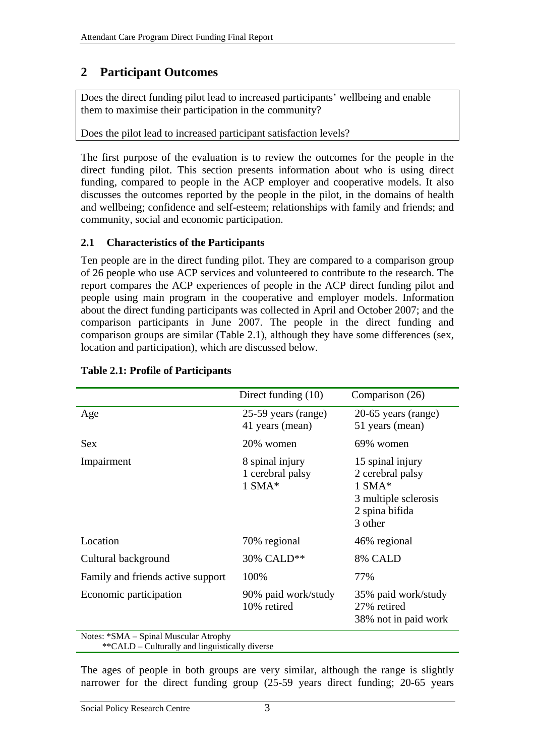# <span id="page-12-0"></span>**2 Participant Outcomes**

Does the direct funding pilot lead to increased participants' wellbeing and enable them to maximise their participation in the community?

Does the pilot lead to increased participant satisfaction levels?

The first purpose of the evaluation is to review the outcomes for the people in the direct funding pilot. This section presents information about who is using direct funding, compared to people in the ACP employer and cooperative models. It also discusses the outcomes reported by the people in the pilot, in the domains of health and wellbeing; confidence and self-esteem; relationships with family and friends; and community, social and economic participation.

# **2.1 Characteristics of the Participants**

Ten people are in the direct funding pilot. They are compared to a comparison group of 26 people who use ACP services and volunteered to contribute to the research. The report compares the ACP experiences of people in the ACP direct funding pilot and people using main program in the cooperative and employer models. Information about the direct funding participants was collected in April and October 2007; and the comparison participants in June 2007. The people in the direct funding and comparison groups are similar ([Table 2.1](#page-12-1)), although they have some differences (sex, location and participation), which are discussed below.

<span id="page-12-1"></span>

|                                                   | Direct funding $(10)$                           | Comparison (26)                                                                                       |
|---------------------------------------------------|-------------------------------------------------|-------------------------------------------------------------------------------------------------------|
| Age                                               | 25-59 years (range)<br>41 years (mean)          | 20-65 years (range)<br>51 years (mean)                                                                |
| Sex                                               | 20% women                                       | 69% women                                                                                             |
| Impairment                                        | 8 spinal injury<br>1 cerebral palsy<br>$1$ SMA* | 15 spinal injury<br>2 cerebral palsy<br>$1$ SMA*<br>3 multiple sclerosis<br>2 spina bifida<br>3 other |
| Location                                          | 70% regional                                    | 46% regional                                                                                          |
| Cultural background                               | 30% CALD**                                      | 8% CALD                                                                                               |
| Family and friends active support                 | 100%                                            | 77%                                                                                                   |
| Economic participation                            | 90% paid work/study<br>10% retired              | 35% paid work/study<br>27% retired<br>38% not in paid work                                            |
| Notes: *SMA - Spinal Muscular Atrophy<br>$\omega$ |                                                 |                                                                                                       |

#### **Table 2.1: Profile of Participants**

\*\*CALD – Culturally and linguistically diverse

The ages of people in both groups are very similar, although the range is slightly narrower for the direct funding group (25-59 years direct funding; 20-65 years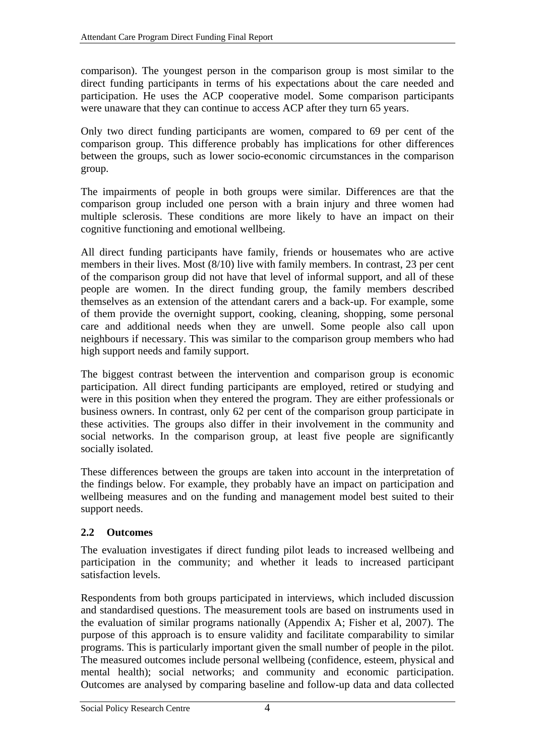<span id="page-13-0"></span>comparison). The youngest person in the comparison group is most similar to the direct funding participants in terms of his expectations about the care needed and participation. He uses the ACP cooperative model. Some comparison participants were unaware that they can continue to access ACP after they turn 65 years.

Only two direct funding participants are women, compared to 69 per cent of the comparison group. This difference probably has implications for other differences between the groups, such as lower socio-economic circumstances in the comparison group.

The impairments of people in both groups were similar. Differences are that the comparison group included one person with a brain injury and three women had multiple sclerosis. These conditions are more likely to have an impact on their cognitive functioning and emotional wellbeing.

All direct funding participants have family, friends or housemates who are active members in their lives. Most (8/10) live with family members. In contrast, 23 per cent of the comparison group did not have that level of informal support, and all of these people are women. In the direct funding group, the family members described themselves as an extension of the attendant carers and a back-up. For example, some of them provide the overnight support, cooking, cleaning, shopping, some personal care and additional needs when they are unwell. Some people also call upon neighbours if necessary. This was similar to the comparison group members who had high support needs and family support.

The biggest contrast between the intervention and comparison group is economic participation. All direct funding participants are employed, retired or studying and were in this position when they entered the program. They are either professionals or business owners. In contrast, only 62 per cent of the comparison group participate in these activities. The groups also differ in their involvement in the community and social networks. In the comparison group, at least five people are significantly socially isolated.

These differences between the groups are taken into account in the interpretation of the findings below. For example, they probably have an impact on participation and wellbeing measures and on the funding and management model best suited to their support needs.

## <span id="page-13-1"></span>**2.2 Outcomes**

The evaluation investigates if direct funding pilot leads to increased wellbeing and participation in the community; and whether it leads to increased participant satisfaction levels.

Respondents from both groups participated in interviews, which included discussion and standardised questions. The measurement tools are based on instruments used in the evaluation of similar programs nationally (Appendix A; Fisher et al, 2007). The purpose of this approach is to ensure validity and facilitate comparability to similar programs. This is particularly important given the small number of people in the pilot. The measured outcomes include personal wellbeing (confidence, esteem, physical and mental health); social networks; and community and economic participation. Outcomes are analysed by comparing baseline and follow-up data and data collected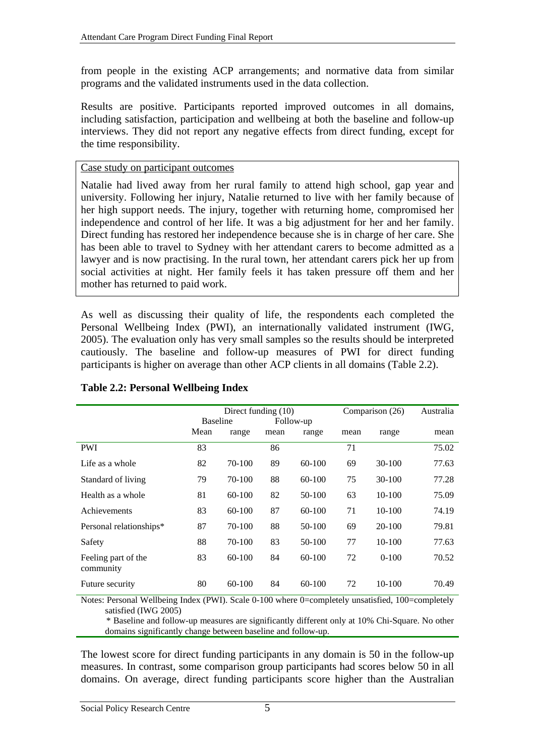<span id="page-14-0"></span>from people in the existing ACP arrangements; and normative data from similar programs and the validated instruments used in the data collection.

Results are positive. Participants reported improved outcomes in all domains, including satisfaction, participation and wellbeing at both the baseline and follow-up interviews. They did not report any negative effects from direct funding, except for the time responsibility.

#### Case study on participant outcomes

Natalie had lived away from her rural family to attend high school, gap year and university. Following her injury, Natalie returned to live with her family because of her high support needs. The injury, together with returning home, compromised her independence and control of her life. It was a big adjustment for her and her family. Direct funding has restored her independence because she is in charge of her care. She has been able to travel to Sydney with her attendant carers to become admitted as a lawyer and is now practising. In the rural town, her attendant carers pick her up from social activities at night. Her family feels it has taken pressure off them and her mother has returned to paid work.

As well as discussing their quality of life, the respondents each completed the Personal Wellbeing Index (PWI), an internationally validated instrument (IWG, 2005). The evaluation only has very small samples so the results should be interpreted cautiously. The baseline and follow-up measures of PWI for direct funding participants is higher on average than other ACP clients in all domains ([Table 2.2](#page-14-1)).

<span id="page-14-1"></span>

|                                  |                 | Direct funding (10) |           |        | Comparison (26) | Australia |       |
|----------------------------------|-----------------|---------------------|-----------|--------|-----------------|-----------|-------|
|                                  | <b>Baseline</b> |                     | Follow-up |        |                 |           |       |
|                                  | Mean            | range               | mean      | range  | mean            | range     | mean  |
| <b>PWI</b>                       | 83              |                     | 86        |        | 71              |           | 75.02 |
| Life as a whole                  | 82              | 70-100              | 89        | 60-100 | 69              | $30-100$  | 77.63 |
| Standard of living               | 79              | 70-100              | 88        | 60-100 | 75              | $30-100$  | 77.28 |
| Health as a whole                | 81              | 60-100              | 82        | 50-100 | 63              | $10-100$  | 75.09 |
| Achievements                     | 83              | 60-100              | 87        | 60-100 | 71              | $10-100$  | 74.19 |
| Personal relationships*          | 87              | 70-100              | 88        | 50-100 | 69              | 20-100    | 79.81 |
| Safety                           | 88              | 70-100              | 83        | 50-100 | 77              | 10-100    | 77.63 |
| Feeling part of the<br>community | 83              | 60-100              | 84        | 60-100 | 72              | $0-100$   | 70.52 |
| Future security                  | 80              | 60-100              | 84        | 60-100 | 72              | 10-100    | 70.49 |

## **Table 2.2: Personal Wellbeing Index**

Notes: Personal Wellbeing Index (PWI). Scale 0-100 where 0=completely unsatisfied, 100=completely satisfied (IWG 2005)

\* Baseline and follow-up measures are significantly different only at 10% Chi-Square. No other domains significantly change between baseline and follow-up.

The lowest score for direct funding participants in any domain is 50 in the follow-up measures. In contrast, some comparison group participants had scores below 50 in all domains. On average, direct funding participants score higher than the Australian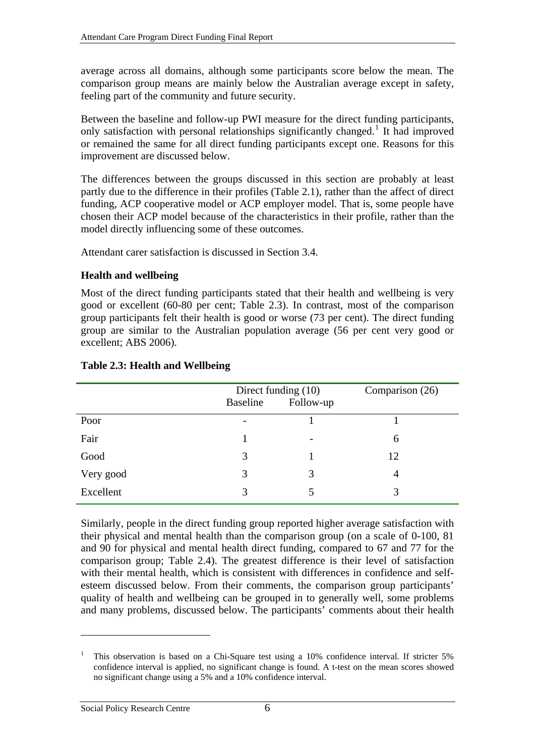<span id="page-15-0"></span>average across all domains, although some participants score below the mean. The comparison group means are mainly below the Australian average except in safety, feeling part of the community and future security.

Between the baseline and follow-up PWI measure for the direct funding participants, only satisfaction with personal relationships significantly changed.<sup>[1](#page-15-1)</sup> It had improved or remained the same for all direct funding participants except one. Reasons for this improvement are discussed below.

The differences between the groups discussed in this section are probably at least partly due to the difference in their profiles ([Table 2.1](#page-12-1)), rather than the affect of direct funding, ACP cooperative model or ACP employer model. That is, some people have chosen their ACP model because of the characteristics in their profile, rather than the model directly influencing some of these outcomes.

Attendant carer satisfaction is discussed in Section [3.4](#page-32-1).

#### **Health and wellbeing**

Most of the direct funding participants stated that their health and wellbeing is very good or excellent (60-80 per cent; [Table 2.3](#page-15-2)). In contrast, most of the comparison group participants felt their health is good or worse (73 per cent). The direct funding group are similar to the Australian population average (56 per cent very good or excellent; ABS 2006).

<span id="page-15-2"></span>

|           | Direct funding (10)<br><b>Baseline</b><br>Follow-up |   | Comparison (26) |
|-----------|-----------------------------------------------------|---|-----------------|
| Poor      | $\overline{\phantom{0}}$                            |   |                 |
| Fair      |                                                     |   | 6               |
| Good      | 3                                                   |   | 12              |
| Very good | 3                                                   | 3 | 4               |
| Excellent | 3                                                   |   | 3               |

#### **Table 2.3: Health and Wellbeing**

Similarly, people in the direct funding group reported higher average satisfaction with their physical and mental health than the comparison group (on a scale of 0-100, 81 and 90 for physical and mental health direct funding, compared to 67 and 77 for the comparison group; [Table 2.4\)](#page-16-1). The greatest difference is their level of satisfaction with their mental health, which is consistent with differences in confidence and selfesteem discussed below. From their comments, the comparison group participants' quality of health and wellbeing can be grouped in to generally well, some problems and many problems, discussed below. The participants' comments about their health

1

<span id="page-15-1"></span><sup>1</sup> This observation is based on a Chi-Square test using a 10% confidence interval. If stricter 5% confidence interval is applied, no significant change is found. A t-test on the mean scores showed no significant change using a 5% and a 10% confidence interval.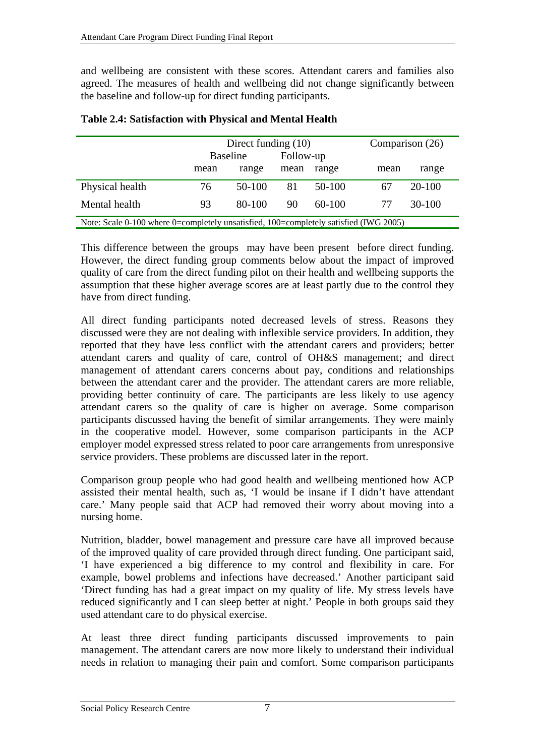<span id="page-16-0"></span>and wellbeing are consistent with these scores. Attendant carers and families also agreed. The measures of health and wellbeing did not change significantly between the baseline and follow-up for direct funding participants.

<span id="page-16-1"></span>

|                                                                                       |                              | Direct funding $(10)$ | Comparison (26) |          |      |            |  |
|---------------------------------------------------------------------------------------|------------------------------|-----------------------|-----------------|----------|------|------------|--|
|                                                                                       | Follow-up<br><b>Baseline</b> |                       |                 |          |      |            |  |
|                                                                                       | range<br>mean                |                       | mean            | range    | mean | range      |  |
| Physical health                                                                       | 76                           | $50-100$              | 81              | $50-100$ | 67   | $20 - 100$ |  |
| Mental health                                                                         | 93                           | 80-100                | 90              | $60-100$ | 77   | $30-100$   |  |
| Note: Scale 0-100 where 0=completely unsatisfied, 100=completely satisfied (IWG 2005) |                              |                       |                 |          |      |            |  |

#### **Table 2.4: Satisfaction with Physical and Mental Health**

This difference between the groups may have been present before direct funding. However, the direct funding group comments below about the impact of improved quality of care from the direct funding pilot on their health and wellbeing supports the assumption that these higher average scores are at least partly due to the control they have from direct funding.

All direct funding participants noted decreased levels of stress. Reasons they discussed were they are not dealing with inflexible service providers. In addition, they reported that they have less conflict with the attendant carers and providers; better attendant carers and quality of care, control of OH&S management; and direct management of attendant carers concerns about pay, conditions and relationships between the attendant carer and the provider. The attendant carers are more reliable, providing better continuity of care. The participants are less likely to use agency attendant carers so the quality of care is higher on average. Some comparison participants discussed having the benefit of similar arrangements. They were mainly in the cooperative model. However, some comparison participants in the ACP employer model expressed stress related to poor care arrangements from unresponsive service providers. These problems are discussed later in the report.

Comparison group people who had good health and wellbeing mentioned how ACP assisted their mental health, such as, 'I would be insane if I didn't have attendant care.' Many people said that ACP had removed their worry about moving into a nursing home.

Nutrition, bladder, bowel management and pressure care have all improved because of the improved quality of care provided through direct funding. One participant said, 'I have experienced a big difference to my control and flexibility in care. For example, bowel problems and infections have decreased.' Another participant said 'Direct funding has had a great impact on my quality of life. My stress levels have reduced significantly and I can sleep better at night.' People in both groups said they used attendant care to do physical exercise.

At least three direct funding participants discussed improvements to pain management. The attendant carers are now more likely to understand their individual needs in relation to managing their pain and comfort. Some comparison participants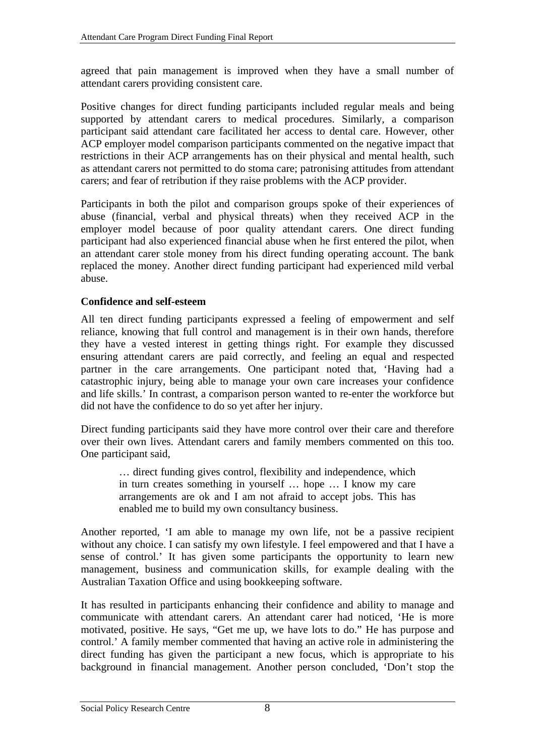<span id="page-17-0"></span>agreed that pain management is improved when they have a small number of attendant carers providing consistent care.

Positive changes for direct funding participants included regular meals and being supported by attendant carers to medical procedures. Similarly, a comparison participant said attendant care facilitated her access to dental care. However, other ACP employer model comparison participants commented on the negative impact that restrictions in their ACP arrangements has on their physical and mental health, such as attendant carers not permitted to do stoma care; patronising attitudes from attendant carers; and fear of retribution if they raise problems with the ACP provider.

Participants in both the pilot and comparison groups spoke of their experiences of abuse (financial, verbal and physical threats) when they received ACP in the employer model because of poor quality attendant carers. One direct funding participant had also experienced financial abuse when he first entered the pilot, when an attendant carer stole money from his direct funding operating account. The bank replaced the money. Another direct funding participant had experienced mild verbal abuse.

## **Confidence and self-esteem**

All ten direct funding participants expressed a feeling of empowerment and self reliance, knowing that full control and management is in their own hands, therefore they have a vested interest in getting things right. For example they discussed ensuring attendant carers are paid correctly, and feeling an equal and respected partner in the care arrangements. One participant noted that, 'Having had a catastrophic injury, being able to manage your own care increases your confidence and life skills.' In contrast, a comparison person wanted to re-enter the workforce but did not have the confidence to do so yet after her injury.

Direct funding participants said they have more control over their care and therefore over their own lives. Attendant carers and family members commented on this too. One participant said,

> … direct funding gives control, flexibility and independence, which in turn creates something in yourself … hope … I know my care arrangements are ok and I am not afraid to accept jobs. This has enabled me to build my own consultancy business.

Another reported, 'I am able to manage my own life, not be a passive recipient without any choice. I can satisfy my own lifestyle. I feel empowered and that I have a sense of control.' It has given some participants the opportunity to learn new management, business and communication skills, for example dealing with the Australian Taxation Office and using bookkeeping software.

It has resulted in participants enhancing their confidence and ability to manage and communicate with attendant carers. An attendant carer had noticed, 'He is more motivated, positive. He says, "Get me up, we have lots to do." He has purpose and control.' A family member commented that having an active role in administering the direct funding has given the participant a new focus, which is appropriate to his background in financial management. Another person concluded, 'Don't stop the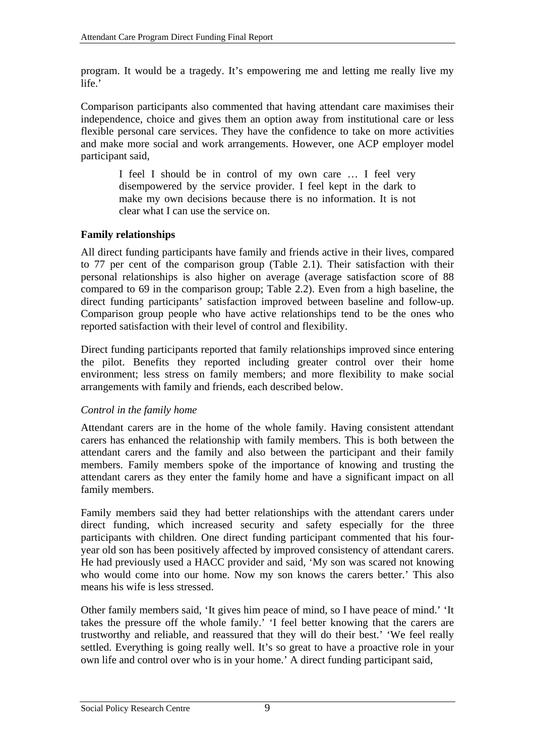<span id="page-18-0"></span>program. It would be a tragedy. It's empowering me and letting me really live my life.'

Comparison participants also commented that having attendant care maximises their independence, choice and gives them an option away from institutional care or less flexible personal care services. They have the confidence to take on more activities and make more social and work arrangements. However, one ACP employer model participant said,

I feel I should be in control of my own care … I feel very disempowered by the service provider. I feel kept in the dark to make my own decisions because there is no information. It is not clear what I can use the service on.

## **Family relationships**

All direct funding participants have family and friends active in their lives, compared to 77 per cent of the comparison group [\(Table 2.1\)](#page-12-1). Their satisfaction with their personal relationships is also higher on average (average satisfaction score of 88 compared to 69 in the comparison group; [Table 2.2](#page-14-1)). Even from a high baseline, the direct funding participants' satisfaction improved between baseline and follow-up. Comparison group people who have active relationships tend to be the ones who reported satisfaction with their level of control and flexibility.

Direct funding participants reported that family relationships improved since entering the pilot. Benefits they reported including greater control over their home environment; less stress on family members; and more flexibility to make social arrangements with family and friends, each described below.

## *Control in the family home*

Attendant carers are in the home of the whole family. Having consistent attendant carers has enhanced the relationship with family members. This is both between the attendant carers and the family and also between the participant and their family members. Family members spoke of the importance of knowing and trusting the attendant carers as they enter the family home and have a significant impact on all family members.

Family members said they had better relationships with the attendant carers under direct funding, which increased security and safety especially for the three participants with children. One direct funding participant commented that his fouryear old son has been positively affected by improved consistency of attendant carers. He had previously used a HACC provider and said, 'My son was scared not knowing who would come into our home. Now my son knows the carers better.' This also means his wife is less stressed.

Other family members said, 'It gives him peace of mind, so I have peace of mind.' 'It takes the pressure off the whole family.' 'I feel better knowing that the carers are trustworthy and reliable, and reassured that they will do their best.' 'We feel really settled. Everything is going really well. It's so great to have a proactive role in your own life and control over who is in your home.' A direct funding participant said,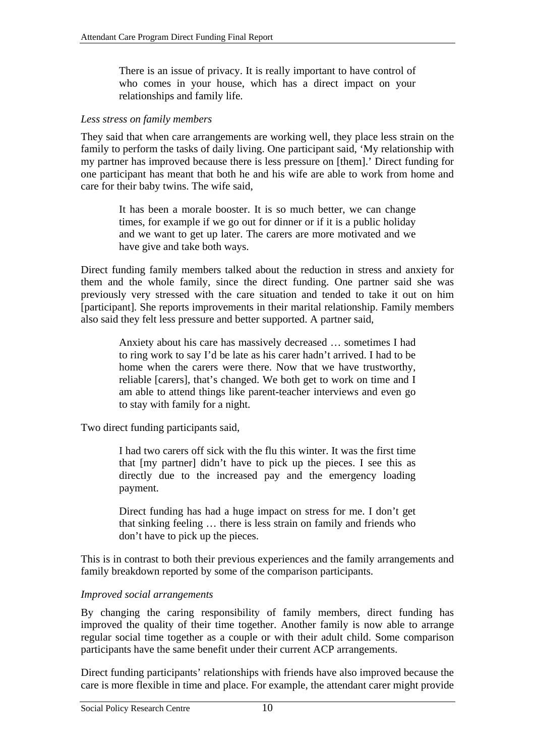There is an issue of privacy. It is really important to have control of who comes in your house, which has a direct impact on your relationships and family life.

#### *Less stress on family members*

They said that when care arrangements are working well, they place less strain on the family to perform the tasks of daily living. One participant said, 'My relationship with my partner has improved because there is less pressure on [them].' Direct funding for one participant has meant that both he and his wife are able to work from home and care for their baby twins. The wife said,

It has been a morale booster. It is so much better, we can change times, for example if we go out for dinner or if it is a public holiday and we want to get up later. The carers are more motivated and we have give and take both ways.

Direct funding family members talked about the reduction in stress and anxiety for them and the whole family, since the direct funding. One partner said she was previously very stressed with the care situation and tended to take it out on him [participant]. She reports improvements in their marital relationship. Family members also said they felt less pressure and better supported. A partner said,

Anxiety about his care has massively decreased … sometimes I had to ring work to say I'd be late as his carer hadn't arrived. I had to be home when the carers were there. Now that we have trustworthy, reliable [carers], that's changed. We both get to work on time and I am able to attend things like parent-teacher interviews and even go to stay with family for a night.

Two direct funding participants said,

I had two carers off sick with the flu this winter. It was the first time that [my partner] didn't have to pick up the pieces. I see this as directly due to the increased pay and the emergency loading payment.

Direct funding has had a huge impact on stress for me. I don't get that sinking feeling … there is less strain on family and friends who don't have to pick up the pieces.

This is in contrast to both their previous experiences and the family arrangements and family breakdown reported by some of the comparison participants.

#### *Improved social arrangements*

By changing the caring responsibility of family members, direct funding has improved the quality of their time together. Another family is now able to arrange regular social time together as a couple or with their adult child. Some comparison participants have the same benefit under their current ACP arrangements.

Direct funding participants' relationships with friends have also improved because the care is more flexible in time and place. For example, the attendant carer might provide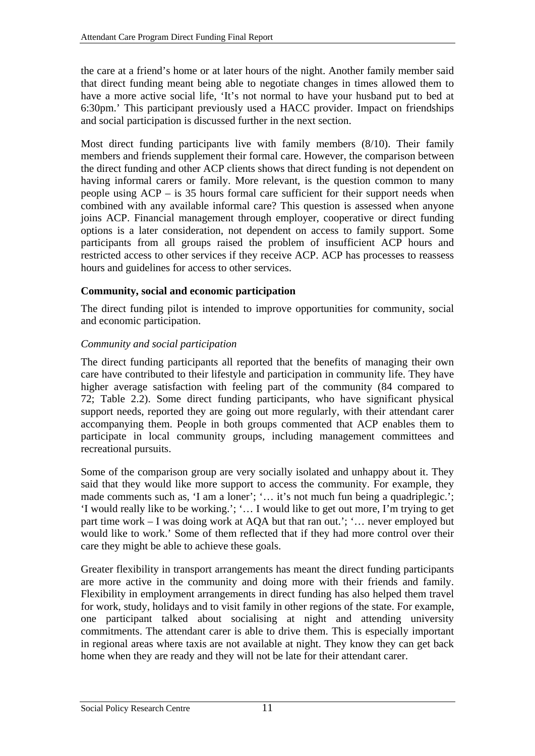<span id="page-20-0"></span>the care at a friend's home or at later hours of the night. Another family member said that direct funding meant being able to negotiate changes in times allowed them to have a more active social life, 'It's not normal to have your husband put to bed at 6:30pm.' This participant previously used a HACC provider. Impact on friendships and social participation is discussed further in the next section.

Most direct funding participants live with family members (8/10). Their family members and friends supplement their formal care. However, the comparison between the direct funding and other ACP clients shows that direct funding is not dependent on having informal carers or family. More relevant, is the question common to many people using ACP – is 35 hours formal care sufficient for their support needs when combined with any available informal care? This question is assessed when anyone joins ACP. Financial management through employer, cooperative or direct funding options is a later consideration, not dependent on access to family support. Some participants from all groups raised the problem of insufficient ACP hours and restricted access to other services if they receive ACP. ACP has processes to reassess hours and guidelines for access to other services.

# **Community, social and economic participation**

The direct funding pilot is intended to improve opportunities for community, social and economic participation.

## *Community and social participation*

The direct funding participants all reported that the benefits of managing their own care have contributed to their lifestyle and participation in community life. They have higher average satisfaction with feeling part of the community (84 compared to 72; [Table 2.2\)](#page-14-1). Some direct funding participants, who have significant physical support needs, reported they are going out more regularly, with their attendant carer accompanying them. People in both groups commented that ACP enables them to participate in local community groups, including management committees and recreational pursuits.

Some of the comparison group are very socially isolated and unhappy about it. They said that they would like more support to access the community. For example, they made comments such as, 'I am a loner'; '... it's not much fun being a quadriplegic.'; 'I would really like to be working.'; '… I would like to get out more, I'm trying to get part time work – I was doing work at AQA but that ran out.'; '… never employed but would like to work.' Some of them reflected that if they had more control over their care they might be able to achieve these goals.

Greater flexibility in transport arrangements has meant the direct funding participants are more active in the community and doing more with their friends and family. Flexibility in employment arrangements in direct funding has also helped them travel for work, study, holidays and to visit family in other regions of the state. For example, one participant talked about socialising at night and attending university commitments. The attendant carer is able to drive them. This is especially important in regional areas where taxis are not available at night. They know they can get back home when they are ready and they will not be late for their attendant carer.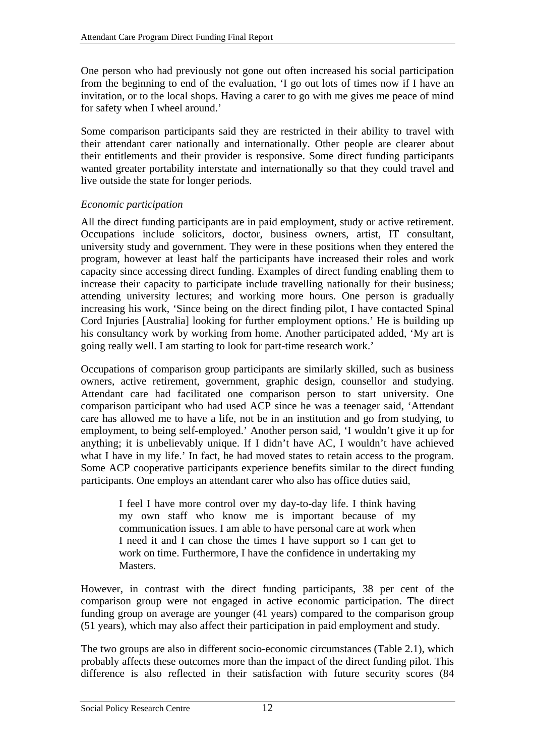One person who had previously not gone out often increased his social participation from the beginning to end of the evaluation, 'I go out lots of times now if I have an invitation, or to the local shops. Having a carer to go with me gives me peace of mind for safety when I wheel around.'

Some comparison participants said they are restricted in their ability to travel with their attendant carer nationally and internationally. Other people are clearer about their entitlements and their provider is responsive. Some direct funding participants wanted greater portability interstate and internationally so that they could travel and live outside the state for longer periods.

## *Economic participation*

All the direct funding participants are in paid employment, study or active retirement. Occupations include solicitors, doctor, business owners, artist, IT consultant, university study and government. They were in these positions when they entered the program, however at least half the participants have increased their roles and work capacity since accessing direct funding. Examples of direct funding enabling them to increase their capacity to participate include travelling nationally for their business; attending university lectures; and working more hours. One person is gradually increasing his work, 'Since being on the direct finding pilot, I have contacted Spinal Cord Injuries [Australia] looking for further employment options.' He is building up his consultancy work by working from home. Another participated added, 'My art is going really well. I am starting to look for part-time research work.'

Occupations of comparison group participants are similarly skilled, such as business owners, active retirement, government, graphic design, counsellor and studying. Attendant care had facilitated one comparison person to start university. One comparison participant who had used ACP since he was a teenager said, 'Attendant care has allowed me to have a life, not be in an institution and go from studying, to employment, to being self-employed.' Another person said, 'I wouldn't give it up for anything; it is unbelievably unique. If I didn't have AC, I wouldn't have achieved what I have in my life.' In fact, he had moved states to retain access to the program. Some ACP cooperative participants experience benefits similar to the direct funding participants. One employs an attendant carer who also has office duties said,

> I feel I have more control over my day-to-day life. I think having my own staff who know me is important because of my communication issues. I am able to have personal care at work when I need it and I can chose the times I have support so I can get to work on time. Furthermore, I have the confidence in undertaking my Masters.

However, in contrast with the direct funding participants, 38 per cent of the comparison group were not engaged in active economic participation. The direct funding group on average are younger (41 years) compared to the comparison group (51 years), which may also affect their participation in paid employment and study.

The two groups are also in different socio-economic circumstances [\(Table 2.1\)](#page-12-1), which probably affects these outcomes more than the impact of the direct funding pilot. This difference is also reflected in their satisfaction with future security scores (84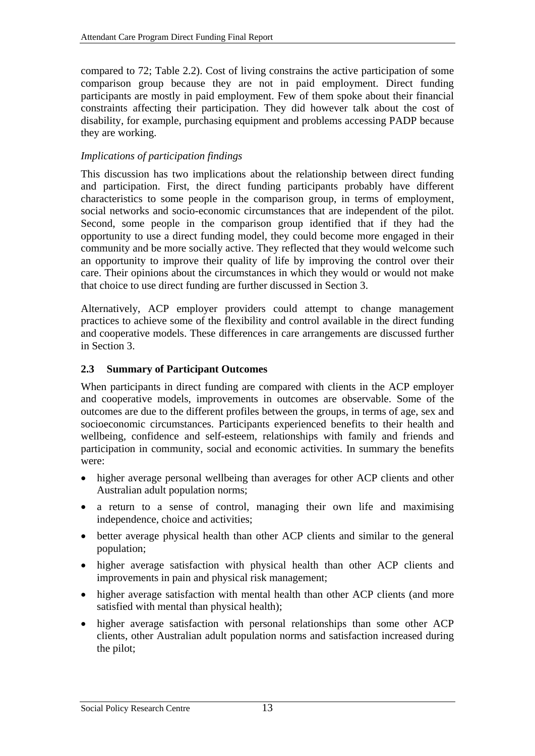<span id="page-22-0"></span>compared to 72; [Table 2.2](#page-14-1)). Cost of living constrains the active participation of some comparison group because they are not in paid employment. Direct funding participants are mostly in paid employment. Few of them spoke about their financial constraints affecting their participation. They did however talk about the cost of disability, for example, purchasing equipment and problems accessing PADP because they are working.

## *Implications of participation findings*

This discussion has two implications about the relationship between direct funding and participation. First, the direct funding participants probably have different characteristics to some people in the comparison group, in terms of employment, social networks and socio-economic circumstances that are independent of the pilot. Second, some people in the comparison group identified that if they had the opportunity to use a direct funding model, they could become more engaged in their community and be more socially active. They reflected that they would welcome such an opportunity to improve their quality of life by improving the control over their care. Their opinions about the circumstances in which they would or would not make that choice to use direct funding are further discussed in Section 3.

Alternatively, ACP employer providers could attempt to change management practices to achieve some of the flexibility and control available in the direct funding and cooperative models. These differences in care arrangements are discussed further in Section 3.

## **2.3 Summary of Participant Outcomes**

When participants in direct funding are compared with clients in the ACP employer and cooperative models, improvements in outcomes are observable. Some of the outcomes are due to the different profiles between the groups, in terms of age, sex and socioeconomic circumstances. Participants experienced benefits to their health and wellbeing, confidence and self-esteem, relationships with family and friends and participation in community, social and economic activities. In summary the benefits were:

- higher average personal wellbeing than averages for other ACP clients and other Australian adult population norms;
- a return to a sense of control, managing their own life and maximising independence, choice and activities;
- better average physical health than other ACP clients and similar to the general population;
- higher average satisfaction with physical health than other ACP clients and improvements in pain and physical risk management;
- higher average satisfaction with mental health than other ACP clients (and more satisfied with mental than physical health);
- higher average satisfaction with personal relationships than some other ACP clients, other Australian adult population norms and satisfaction increased during the pilot;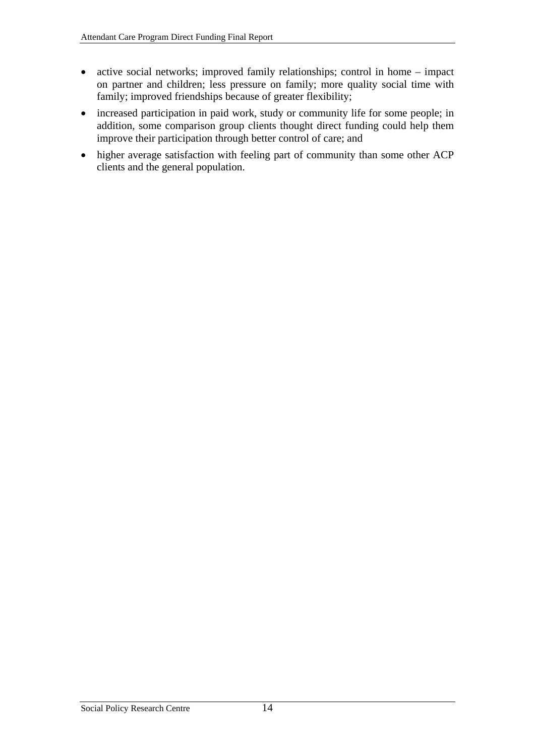- active social networks; improved family relationships; control in home impact on partner and children; less pressure on family; more quality social time with family; improved friendships because of greater flexibility;
- increased participation in paid work, study or community life for some people; in addition, some comparison group clients thought direct funding could help them improve their participation through better control of care; and
- higher average satisfaction with feeling part of community than some other ACP clients and the general population.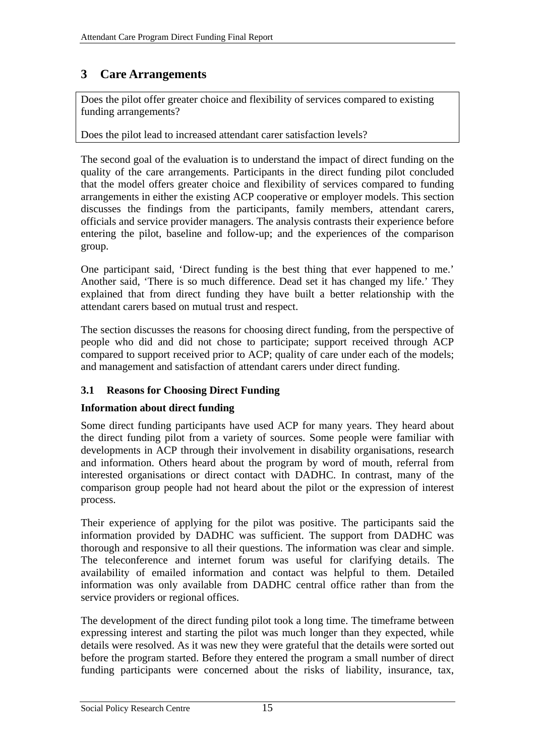# <span id="page-24-0"></span>**3 Care Arrangements**

Does the pilot offer greater choice and flexibility of services compared to existing funding arrangements?

Does the pilot lead to increased attendant carer satisfaction levels?

The second goal of the evaluation is to understand the impact of direct funding on the quality of the care arrangements. Participants in the direct funding pilot concluded that the model offers greater choice and flexibility of services compared to funding arrangements in either the existing ACP cooperative or employer models. This section discusses the findings from the participants, family members, attendant carers, officials and service provider managers. The analysis contrasts their experience before entering the pilot, baseline and follow-up; and the experiences of the comparison group.

One participant said, 'Direct funding is the best thing that ever happened to me.' Another said, 'There is so much difference. Dead set it has changed my life.' They explained that from direct funding they have built a better relationship with the attendant carers based on mutual trust and respect.

The section discusses the reasons for choosing direct funding, from the perspective of people who did and did not chose to participate; support received through ACP compared to support received prior to ACP; quality of care under each of the models; and management and satisfaction of attendant carers under direct funding.

# **3.1 Reasons for Choosing Direct Funding**

## **Information about direct funding**

Some direct funding participants have used ACP for many years. They heard about the direct funding pilot from a variety of sources. Some people were familiar with developments in ACP through their involvement in disability organisations, research and information. Others heard about the program by word of mouth, referral from interested organisations or direct contact with DADHC. In contrast, many of the comparison group people had not heard about the pilot or the expression of interest process.

Their experience of applying for the pilot was positive. The participants said the information provided by DADHC was sufficient. The support from DADHC was thorough and responsive to all their questions. The information was clear and simple. The teleconference and internet forum was useful for clarifying details. The availability of emailed information and contact was helpful to them. Detailed information was only available from DADHC central office rather than from the service providers or regional offices.

The development of the direct funding pilot took a long time. The timeframe between expressing interest and starting the pilot was much longer than they expected, while details were resolved. As it was new they were grateful that the details were sorted out before the program started. Before they entered the program a small number of direct funding participants were concerned about the risks of liability, insurance, tax,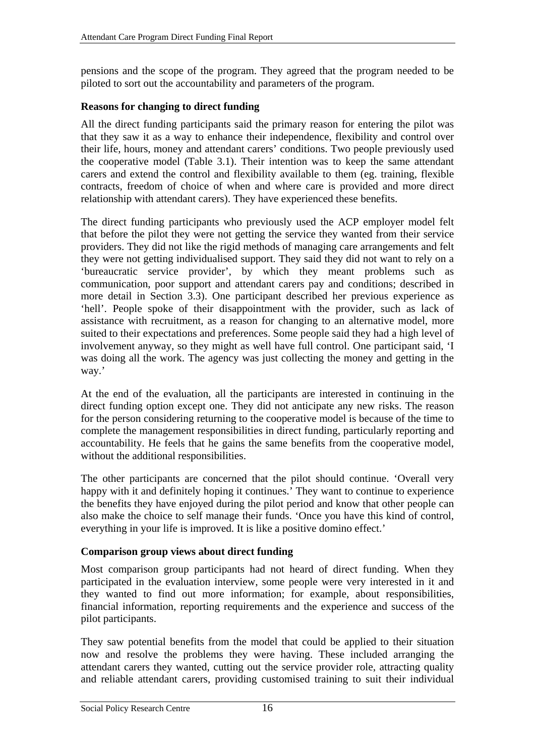<span id="page-25-0"></span>pensions and the scope of the program. They agreed that the program needed to be piloted to sort out the accountability and parameters of the program.

#### **Reasons for changing to direct funding**

All the direct funding participants said the primary reason for entering the pilot was that they saw it as a way to enhance their independence, flexibility and control over their life, hours, money and attendant carers' conditions. Two people previously used the cooperative model [\(Table 3.1\)](#page-26-1). Their intention was to keep the same attendant carers and extend the control and flexibility available to them (eg. training, flexible contracts, freedom of choice of when and where care is provided and more direct relationship with attendant carers). They have experienced these benefits.

The direct funding participants who previously used the ACP employer model felt that before the pilot they were not getting the service they wanted from their service providers. They did not like the rigid methods of managing care arrangements and felt they were not getting individualised support. They said they did not want to rely on a 'bureaucratic service provider', by which they meant problems such as communication, poor support and attendant carers pay and conditions; described in more detail in Section 3.3). One participant described her previous experience as 'hell'. People spoke of their disappointment with the provider, such as lack of assistance with recruitment, as a reason for changing to an alternative model, more suited to their expectations and preferences. Some people said they had a high level of involvement anyway, so they might as well have full control. One participant said, 'I was doing all the work. The agency was just collecting the money and getting in the way.'

At the end of the evaluation, all the participants are interested in continuing in the direct funding option except one. They did not anticipate any new risks. The reason for the person considering returning to the cooperative model is because of the time to complete the management responsibilities in direct funding, particularly reporting and accountability. He feels that he gains the same benefits from the cooperative model, without the additional responsibilities.

The other participants are concerned that the pilot should continue. 'Overall very happy with it and definitely hoping it continues. They want to continue to experience the benefits they have enjoyed during the pilot period and know that other people can also make the choice to self manage their funds. 'Once you have this kind of control, everything in your life is improved. It is like a positive domino effect.'

#### **Comparison group views about direct funding**

Most comparison group participants had not heard of direct funding. When they participated in the evaluation interview, some people were very interested in it and they wanted to find out more information; for example, about responsibilities, financial information, reporting requirements and the experience and success of the pilot participants.

They saw potential benefits from the model that could be applied to their situation now and resolve the problems they were having. These included arranging the attendant carers they wanted, cutting out the service provider role, attracting quality and reliable attendant carers, providing customised training to suit their individual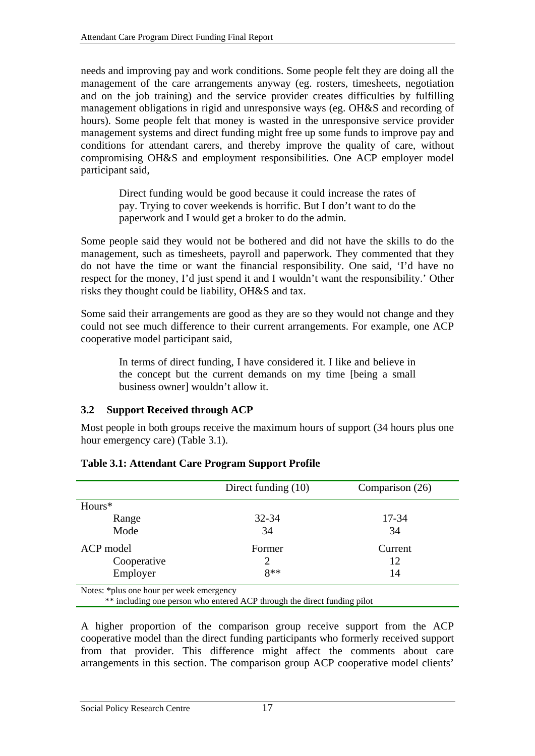<span id="page-26-0"></span>needs and improving pay and work conditions. Some people felt they are doing all the management of the care arrangements anyway (eg. rosters, timesheets, negotiation and on the job training) and the service provider creates difficulties by fulfilling management obligations in rigid and unresponsive ways (eg. OH&S and recording of hours). Some people felt that money is wasted in the unresponsive service provider management systems and direct funding might free up some funds to improve pay and conditions for attendant carers, and thereby improve the quality of care, without compromising OH&S and employment responsibilities. One ACP employer model participant said,

> Direct funding would be good because it could increase the rates of pay. Trying to cover weekends is horrific. But I don't want to do the paperwork and I would get a broker to do the admin.

Some people said they would not be bothered and did not have the skills to do the management, such as timesheets, payroll and paperwork. They commented that they do not have the time or want the financial responsibility. One said, 'I'd have no respect for the money, I'd just spend it and I wouldn't want the responsibility.' Other risks they thought could be liability, OH&S and tax.

Some said their arrangements are good as they are so they would not change and they could not see much difference to their current arrangements. For example, one ACP cooperative model participant said,

> In terms of direct funding, I have considered it. I like and believe in the concept but the current demands on my time [being a small business owner] wouldn't allow it.

# **3.2 Support Received through ACP**

Most people in both groups receive the maximum hours of support (34 hours plus one hour emergency care) ([Table 3.1\)](#page-26-1).

<span id="page-26-1"></span>

|                                                                          | Direct funding $(10)$ | Comparison (26) |  |  |  |  |  |
|--------------------------------------------------------------------------|-----------------------|-----------------|--|--|--|--|--|
| $Hours*$                                                                 |                       |                 |  |  |  |  |  |
| Range                                                                    | 32-34                 | 17-34           |  |  |  |  |  |
| Mode                                                                     | 34                    | 34              |  |  |  |  |  |
| ACP model                                                                | Former                | Current         |  |  |  |  |  |
| Cooperative                                                              |                       | 12              |  |  |  |  |  |
| Employer                                                                 | $8**$                 | 14              |  |  |  |  |  |
| Notes: *plus one hour per week emergency                                 |                       |                 |  |  |  |  |  |
| ** including one person who entered ACP through the direct funding pilot |                       |                 |  |  |  |  |  |

#### **Table 3.1: Attendant Care Program Support Profile**

A higher proportion of the comparison group receive support from the ACP cooperative model than the direct funding participants who formerly received support from that provider. This difference might affect the comments about care arrangements in this section. The comparison group ACP cooperative model clients'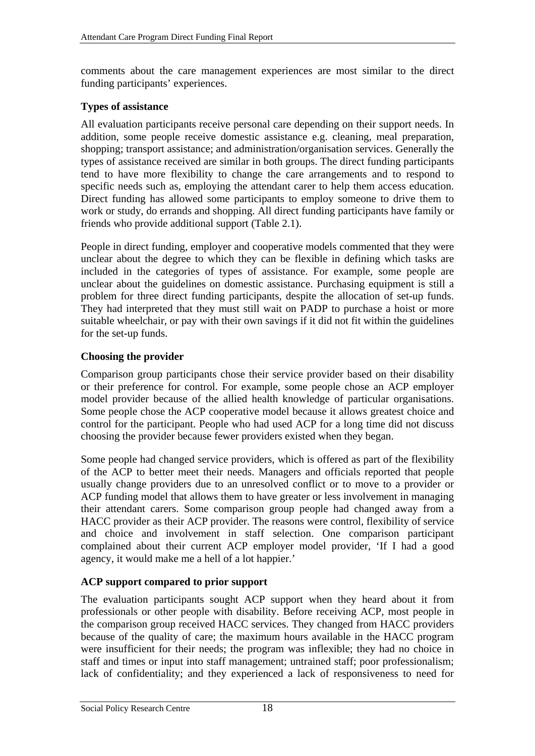<span id="page-27-0"></span>comments about the care management experiences are most similar to the direct funding participants' experiences.

#### **Types of assistance**

All evaluation participants receive personal care depending on their support needs. In addition, some people receive domestic assistance e.g. cleaning, meal preparation, shopping; transport assistance; and administration/organisation services. Generally the types of assistance received are similar in both groups. The direct funding participants tend to have more flexibility to change the care arrangements and to respond to specific needs such as, employing the attendant carer to help them access education. Direct funding has allowed some participants to employ someone to drive them to work or study, do errands and shopping. All direct funding participants have family or friends who provide additional support ([Table 2.1\)](#page-12-1).

People in direct funding, employer and cooperative models commented that they were unclear about the degree to which they can be flexible in defining which tasks are included in the categories of types of assistance. For example, some people are unclear about the guidelines on domestic assistance. Purchasing equipment is still a problem for three direct funding participants, despite the allocation of set-up funds. They had interpreted that they must still wait on PADP to purchase a hoist or more suitable wheelchair, or pay with their own savings if it did not fit within the guidelines for the set-up funds.

## **Choosing the provider**

Comparison group participants chose their service provider based on their disability or their preference for control. For example, some people chose an ACP employer model provider because of the allied health knowledge of particular organisations. Some people chose the ACP cooperative model because it allows greatest choice and control for the participant. People who had used ACP for a long time did not discuss choosing the provider because fewer providers existed when they began.

Some people had changed service providers, which is offered as part of the flexibility of the ACP to better meet their needs. Managers and officials reported that people usually change providers due to an unresolved conflict or to move to a provider or ACP funding model that allows them to have greater or less involvement in managing their attendant carers. Some comparison group people had changed away from a HACC provider as their ACP provider. The reasons were control, flexibility of service and choice and involvement in staff selection. One comparison participant complained about their current ACP employer model provider, 'If I had a good agency, it would make me a hell of a lot happier.'

## **ACP support compared to prior support**

The evaluation participants sought ACP support when they heard about it from professionals or other people with disability. Before receiving ACP, most people in the comparison group received HACC services. They changed from HACC providers because of the quality of care; the maximum hours available in the HACC program were insufficient for their needs; the program was inflexible; they had no choice in staff and times or input into staff management; untrained staff; poor professionalism; lack of confidentiality; and they experienced a lack of responsiveness to need for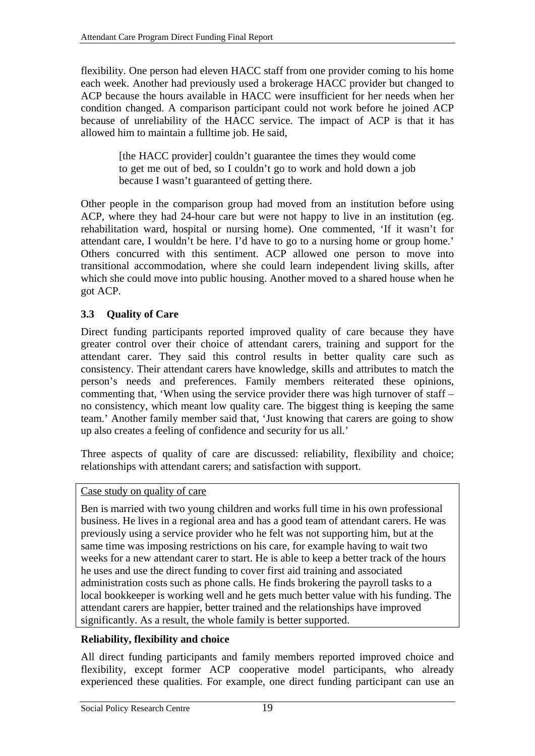<span id="page-28-0"></span>flexibility. One person had eleven HACC staff from one provider coming to his home each week. Another had previously used a brokerage HACC provider but changed to ACP because the hours available in HACC were insufficient for her needs when her condition changed. A comparison participant could not work before he joined ACP because of unreliability of the HACC service. The impact of ACP is that it has allowed him to maintain a fulltime job. He said,

> [the HACC provider] couldn't guarantee the times they would come to get me out of bed, so I couldn't go to work and hold down a job because I wasn't guaranteed of getting there.

Other people in the comparison group had moved from an institution before using ACP, where they had 24-hour care but were not happy to live in an institution (eg. rehabilitation ward, hospital or nursing home). One commented, 'If it wasn't for attendant care, I wouldn't be here. I'd have to go to a nursing home or group home.' Others concurred with this sentiment. ACP allowed one person to move into transitional accommodation, where she could learn independent living skills, after which she could move into public housing. Another moved to a shared house when he got ACP.

# <span id="page-28-1"></span>**3.3 Quality of Care**

Direct funding participants reported improved quality of care because they have greater control over their choice of attendant carers, training and support for the attendant carer. They said this control results in better quality care such as consistency. Their attendant carers have knowledge, skills and attributes to match the person's needs and preferences. Family members reiterated these opinions, commenting that, 'When using the service provider there was high turnover of staff – no consistency, which meant low quality care. The biggest thing is keeping the same team.' Another family member said that, 'Just knowing that carers are going to show up also creates a feeling of confidence and security for us all.'

Three aspects of quality of care are discussed: reliability, flexibility and choice; relationships with attendant carers; and satisfaction with support.

## Case study on quality of care

Ben is married with two young children and works full time in his own professional business. He lives in a regional area and has a good team of attendant carers. He was previously using a service provider who he felt was not supporting him, but at the same time was imposing restrictions on his care, for example having to wait two weeks for a new attendant carer to start. He is able to keep a better track of the hours he uses and use the direct funding to cover first aid training and associated administration costs such as phone calls. He finds brokering the payroll tasks to a local bookkeeper is working well and he gets much better value with his funding. The attendant carers are happier, better trained and the relationships have improved significantly. As a result, the whole family is better supported.

## **Reliability, flexibility and choice**

All direct funding participants and family members reported improved choice and flexibility, except former ACP cooperative model participants, who already experienced these qualities. For example, one direct funding participant can use an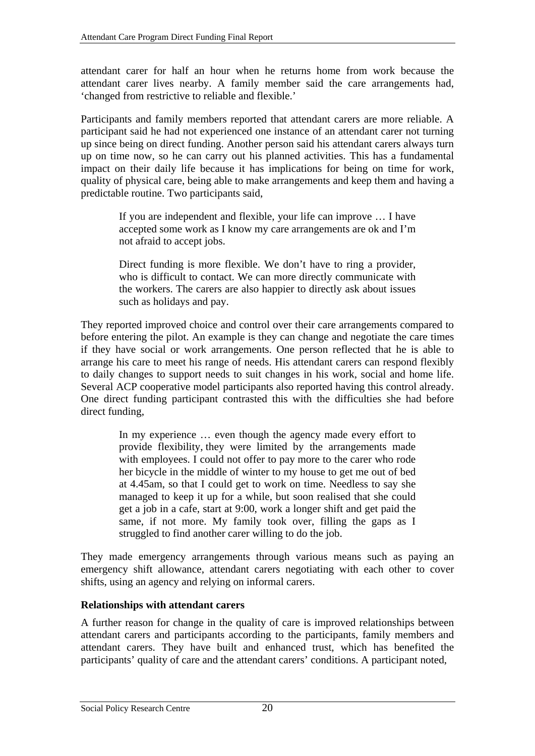<span id="page-29-0"></span>attendant carer for half an hour when he returns home from work because the attendant carer lives nearby. A family member said the care arrangements had, 'changed from restrictive to reliable and flexible.'

Participants and family members reported that attendant carers are more reliable. A participant said he had not experienced one instance of an attendant carer not turning up since being on direct funding. Another person said his attendant carers always turn up on time now, so he can carry out his planned activities. This has a fundamental impact on their daily life because it has implications for being on time for work, quality of physical care, being able to make arrangements and keep them and having a predictable routine. Two participants said,

> If you are independent and flexible, your life can improve … I have accepted some work as I know my care arrangements are ok and I'm not afraid to accept jobs.

> Direct funding is more flexible. We don't have to ring a provider, who is difficult to contact. We can more directly communicate with the workers. The carers are also happier to directly ask about issues such as holidays and pay.

They reported improved choice and control over their care arrangements compared to before entering the pilot. An example is they can change and negotiate the care times if they have social or work arrangements. One person reflected that he is able to arrange his care to meet his range of needs. His attendant carers can respond flexibly to daily changes to support needs to suit changes in his work, social and home life. Several ACP cooperative model participants also reported having this control already. One direct funding participant contrasted this with the difficulties she had before direct funding,

In my experience … even though the agency made every effort to provide flexibility, they were limited by the arrangements made with employees. I could not offer to pay more to the carer who rode her bicycle in the middle of winter to my house to get me out of bed at 4.45am, so that I could get to work on time. Needless to say she managed to keep it up for a while, but soon realised that she could get a job in a cafe, start at 9:00, work a longer shift and get paid the same, if not more. My family took over, filling the gaps as I struggled to find another carer willing to do the job.

They made emergency arrangements through various means such as paying an emergency shift allowance, attendant carers negotiating with each other to cover shifts, using an agency and relying on informal carers.

#### **Relationships with attendant carers**

A further reason for change in the quality of care is improved relationships between attendant carers and participants according to the participants, family members and attendant carers. They have built and enhanced trust, which has benefited the participants' quality of care and the attendant carers' conditions. A participant noted,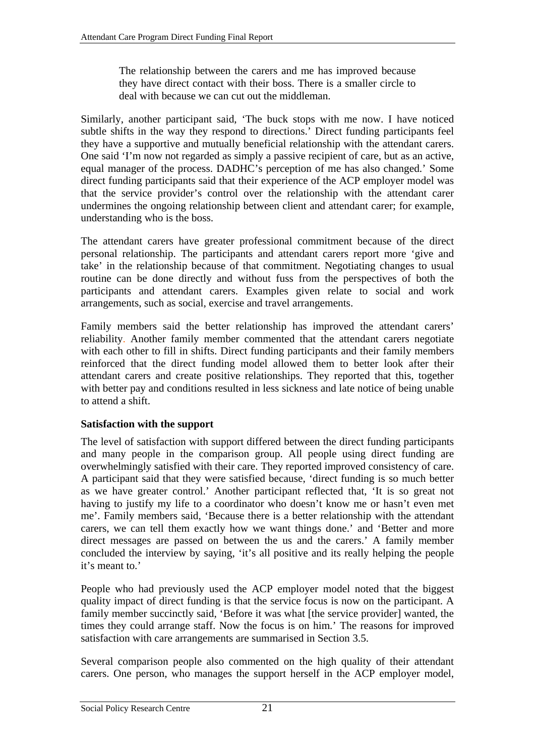<span id="page-30-0"></span>The relationship between the carers and me has improved because they have direct contact with their boss. There is a smaller circle to deal with because we can cut out the middleman.

Similarly, another participant said, 'The buck stops with me now. I have noticed subtle shifts in the way they respond to directions.' Direct funding participants feel they have a supportive and mutually beneficial relationship with the attendant carers. One said 'I'm now not regarded as simply a passive recipient of care, but as an active, equal manager of the process. DADHC's perception of me has also changed.' Some direct funding participants said that their experience of the ACP employer model was that the service provider's control over the relationship with the attendant carer undermines the ongoing relationship between client and attendant carer; for example, understanding who is the boss.

The attendant carers have greater professional commitment because of the direct personal relationship. The participants and attendant carers report more 'give and take' in the relationship because of that commitment. Negotiating changes to usual routine can be done directly and without fuss from the perspectives of both the participants and attendant carers. Examples given relate to social and work arrangements, such as social, exercise and travel arrangements.

Family members said the better relationship has improved the attendant carers' reliability. Another family member commented that the attendant carers negotiate with each other to fill in shifts. Direct funding participants and their family members reinforced that the direct funding model allowed them to better look after their attendant carers and create positive relationships. They reported that this, together with better pay and conditions resulted in less sickness and late notice of being unable to attend a shift.

## **Satisfaction with the support**

The level of satisfaction with support differed between the direct funding participants and many people in the comparison group. All people using direct funding are overwhelmingly satisfied with their care. They reported improved consistency of care. A participant said that they were satisfied because, 'direct funding is so much better as we have greater control.' Another participant reflected that, 'It is so great not having to justify my life to a coordinator who doesn't know me or hasn't even met me'. Family members said, 'Because there is a better relationship with the attendant carers, we can tell them exactly how we want things done.' and 'Better and more direct messages are passed on between the us and the carers.' A family member concluded the interview by saying, 'it's all positive and its really helping the people it's meant to.'

People who had previously used the ACP employer model noted that the biggest quality impact of direct funding is that the service focus is now on the participant. A family member succinctly said, 'Before it was what [the service provider] wanted, the times they could arrange staff. Now the focus is on him.' The reasons for improved satisfaction with care arrangements are summarised in Section [3.5.](#page-39-1)

Several comparison people also commented on the high quality of their attendant carers. One person, who manages the support herself in the ACP employer model,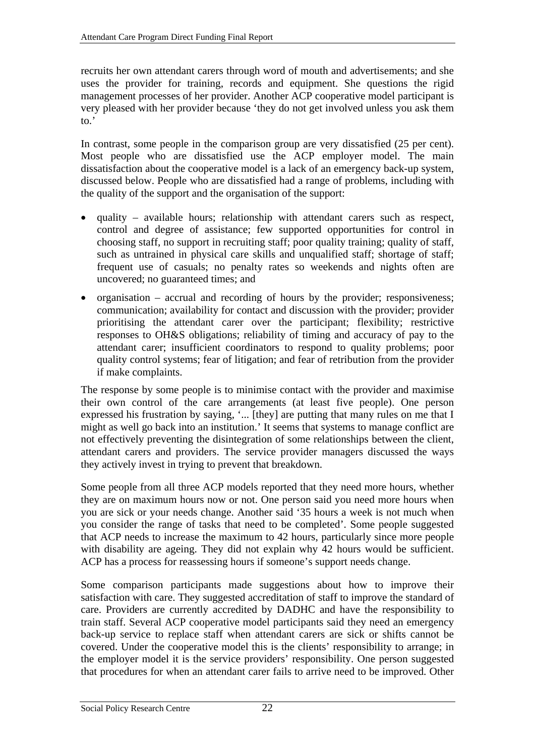recruits her own attendant carers through word of mouth and advertisements; and she uses the provider for training, records and equipment. She questions the rigid management processes of her provider. Another ACP cooperative model participant is very pleased with her provider because 'they do not get involved unless you ask them to.'

In contrast, some people in the comparison group are very dissatisfied (25 per cent). Most people who are dissatisfied use the ACP employer model. The main dissatisfaction about the cooperative model is a lack of an emergency back-up system, discussed below. People who are dissatisfied had a range of problems, including with the quality of the support and the organisation of the support:

- quality available hours; relationship with attendant carers such as respect, control and degree of assistance; few supported opportunities for control in choosing staff, no support in recruiting staff; poor quality training; quality of staff, such as untrained in physical care skills and unqualified staff; shortage of staff; frequent use of casuals; no penalty rates so weekends and nights often are uncovered; no guaranteed times; and
- organisation accrual and recording of hours by the provider; responsiveness; communication; availability for contact and discussion with the provider; provider prioritising the attendant carer over the participant; flexibility; restrictive responses to OH&S obligations; reliability of timing and accuracy of pay to the attendant carer; insufficient coordinators to respond to quality problems; poor quality control systems; fear of litigation; and fear of retribution from the provider if make complaints.

The response by some people is to minimise contact with the provider and maximise their own control of the care arrangements (at least five people). One person expressed his frustration by saying, '... [they] are putting that many rules on me that I might as well go back into an institution.' It seems that systems to manage conflict are not effectively preventing the disintegration of some relationships between the client, attendant carers and providers. The service provider managers discussed the ways they actively invest in trying to prevent that breakdown.

Some people from all three ACP models reported that they need more hours, whether they are on maximum hours now or not. One person said you need more hours when you are sick or your needs change. Another said '35 hours a week is not much when you consider the range of tasks that need to be completed'. Some people suggested that ACP needs to increase the maximum to 42 hours, particularly since more people with disability are ageing. They did not explain why 42 hours would be sufficient. ACP has a process for reassessing hours if someone's support needs change.

Some comparison participants made suggestions about how to improve their satisfaction with care. They suggested accreditation of staff to improve the standard of care. Providers are currently accredited by DADHC and have the responsibility to train staff. Several ACP cooperative model participants said they need an emergency back-up service to replace staff when attendant carers are sick or shifts cannot be covered. Under the cooperative model this is the clients' responsibility to arrange; in the employer model it is the service providers' responsibility. One person suggested that procedures for when an attendant carer fails to arrive need to be improved. Other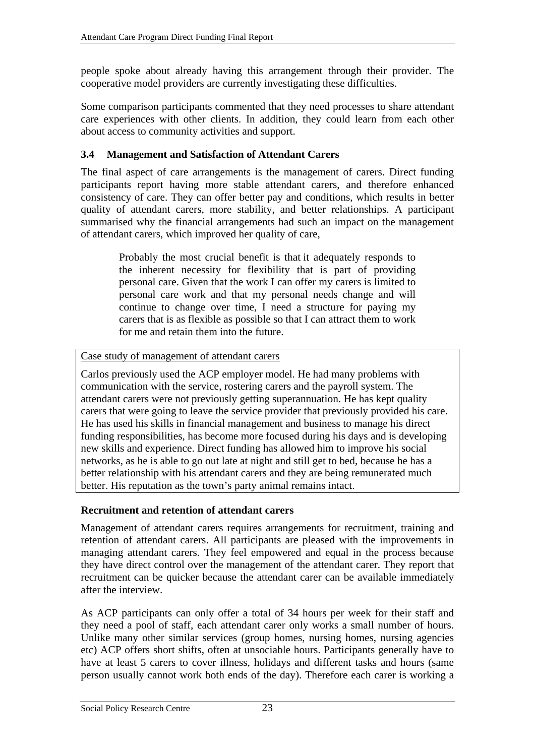<span id="page-32-0"></span>people spoke about already having this arrangement through their provider. The cooperative model providers are currently investigating these difficulties.

Some comparison participants commented that they need processes to share attendant care experiences with other clients. In addition, they could learn from each other about access to community activities and support.

# <span id="page-32-1"></span>**3.4 Management and Satisfaction of Attendant Carers**

The final aspect of care arrangements is the management of carers. Direct funding participants report having more stable attendant carers, and therefore enhanced consistency of care. They can offer better pay and conditions, which results in better quality of attendant carers, more stability, and better relationships. A participant summarised why the financial arrangements had such an impact on the management of attendant carers, which improved her quality of care,

> Probably the most crucial benefit is that it adequately responds to the inherent necessity for flexibility that is part of providing personal care. Given that the work I can offer my carers is limited to personal care work and that my personal needs change and will continue to change over time, I need a structure for paying my carers that is as flexible as possible so that I can attract them to work for me and retain them into the future.

Case study of management of attendant carers

Carlos previously used the ACP employer model. He had many problems with communication with the service, rostering carers and the payroll system. The attendant carers were not previously getting superannuation. He has kept quality carers that were going to leave the service provider that previously provided his care. He has used his skills in financial management and business to manage his direct funding responsibilities, has become more focused during his days and is developing new skills and experience. Direct funding has allowed him to improve his social networks, as he is able to go out late at night and still get to bed, because he has a better relationship with his attendant carers and they are being remunerated much better. His reputation as the town's party animal remains intact.

## **Recruitment and retention of attendant carers**

Management of attendant carers requires arrangements for recruitment, training and retention of attendant carers. All participants are pleased with the improvements in managing attendant carers. They feel empowered and equal in the process because they have direct control over the management of the attendant carer. They report that recruitment can be quicker because the attendant carer can be available immediately after the interview.

As ACP participants can only offer a total of 34 hours per week for their staff and they need a pool of staff, each attendant carer only works a small number of hours. Unlike many other similar services (group homes, nursing homes, nursing agencies etc) ACP offers short shifts, often at unsociable hours. Participants generally have to have at least 5 carers to cover illness, holidays and different tasks and hours (same person usually cannot work both ends of the day). Therefore each carer is working a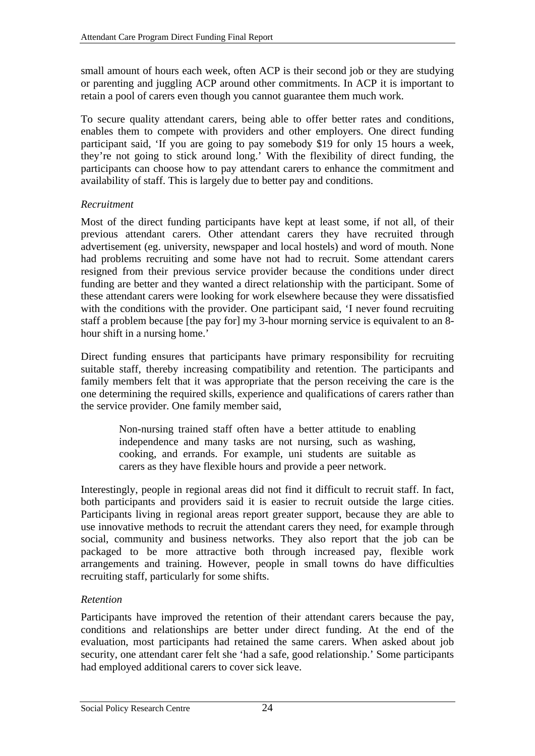small amount of hours each week, often ACP is their second job or they are studying or parenting and juggling ACP around other commitments. In ACP it is important to retain a pool of carers even though you cannot guarantee them much work.

To secure quality attendant carers, being able to offer better rates and conditions, enables them to compete with providers and other employers. One direct funding participant said, 'If you are going to pay somebody \$19 for only 15 hours a week, they're not going to stick around long.' With the flexibility of direct funding, the participants can choose how to pay attendant carers to enhance the commitment and availability of staff. This is largely due to better pay and conditions.

## *Recruitment*

Most of the direct funding participants have kept at least some, if not all, of their previous attendant carers. Other attendant carers they have recruited through advertisement (eg. university, newspaper and local hostels) and word of mouth. None had problems recruiting and some have not had to recruit. Some attendant carers resigned from their previous service provider because the conditions under direct funding are better and they wanted a direct relationship with the participant. Some of these attendant carers were looking for work elsewhere because they were dissatisfied with the conditions with the provider. One participant said, 'I never found recruiting staff a problem because [the pay for] my 3-hour morning service is equivalent to an 8 hour shift in a nursing home.'

Direct funding ensures that participants have primary responsibility for recruiting suitable staff, thereby increasing compatibility and retention. The participants and family members felt that it was appropriate that the person receiving the care is the one determining the required skills, experience and qualifications of carers rather than the service provider. One family member said,

> Non-nursing trained staff often have a better attitude to enabling independence and many tasks are not nursing, such as washing, cooking, and errands. For example, uni students are suitable as carers as they have flexible hours and provide a peer network.

Interestingly, people in regional areas did not find it difficult to recruit staff. In fact, both participants and providers said it is easier to recruit outside the large cities. Participants living in regional areas report greater support, because they are able to use innovative methods to recruit the attendant carers they need, for example through social, community and business networks. They also report that the job can be packaged to be more attractive both through increased pay, flexible work arrangements and training. However, people in small towns do have difficulties recruiting staff, particularly for some shifts.

# *Retention*

Participants have improved the retention of their attendant carers because the pay, conditions and relationships are better under direct funding. At the end of the evaluation, most participants had retained the same carers. When asked about job security, one attendant carer felt she 'had a safe, good relationship.' Some participants had employed additional carers to cover sick leave.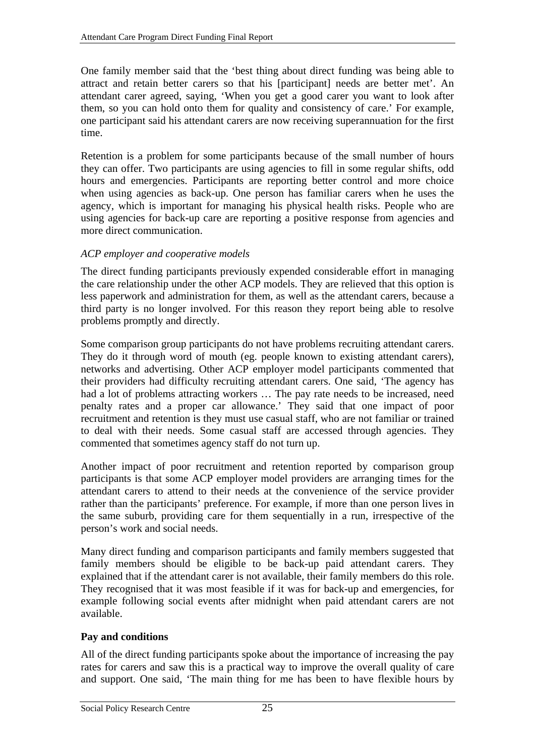<span id="page-34-0"></span>One family member said that the 'best thing about direct funding was being able to attract and retain better carers so that his [participant] needs are better met'. An attendant carer agreed, saying, 'When you get a good carer you want to look after them, so you can hold onto them for quality and consistency of care.' For example, one participant said his attendant carers are now receiving superannuation for the first time.

Retention is a problem for some participants because of the small number of hours they can offer. Two participants are using agencies to fill in some regular shifts, odd hours and emergencies. Participants are reporting better control and more choice when using agencies as back-up. One person has familiar carers when he uses the agency, which is important for managing his physical health risks. People who are using agencies for back-up care are reporting a positive response from agencies and more direct communication.

## *ACP employer and cooperative models*

The direct funding participants previously expended considerable effort in managing the care relationship under the other ACP models. They are relieved that this option is less paperwork and administration for them, as well as the attendant carers, because a third party is no longer involved. For this reason they report being able to resolve problems promptly and directly.

Some comparison group participants do not have problems recruiting attendant carers. They do it through word of mouth (eg. people known to existing attendant carers), networks and advertising. Other ACP employer model participants commented that their providers had difficulty recruiting attendant carers. One said, 'The agency has had a lot of problems attracting workers … The pay rate needs to be increased, need penalty rates and a proper car allowance.' They said that one impact of poor recruitment and retention is they must use casual staff, who are not familiar or trained to deal with their needs. Some casual staff are accessed through agencies. They commented that sometimes agency staff do not turn up.

Another impact of poor recruitment and retention reported by comparison group participants is that some ACP employer model providers are arranging times for the attendant carers to attend to their needs at the convenience of the service provider rather than the participants' preference. For example, if more than one person lives in the same suburb, providing care for them sequentially in a run, irrespective of the person's work and social needs.

Many direct funding and comparison participants and family members suggested that family members should be eligible to be back-up paid attendant carers. They explained that if the attendant carer is not available, their family members do this role. They recognised that it was most feasible if it was for back-up and emergencies, for example following social events after midnight when paid attendant carers are not available.

## **Pay and conditions**

All of the direct funding participants spoke about the importance of increasing the pay rates for carers and saw this is a practical way to improve the overall quality of care and support. One said, 'The main thing for me has been to have flexible hours by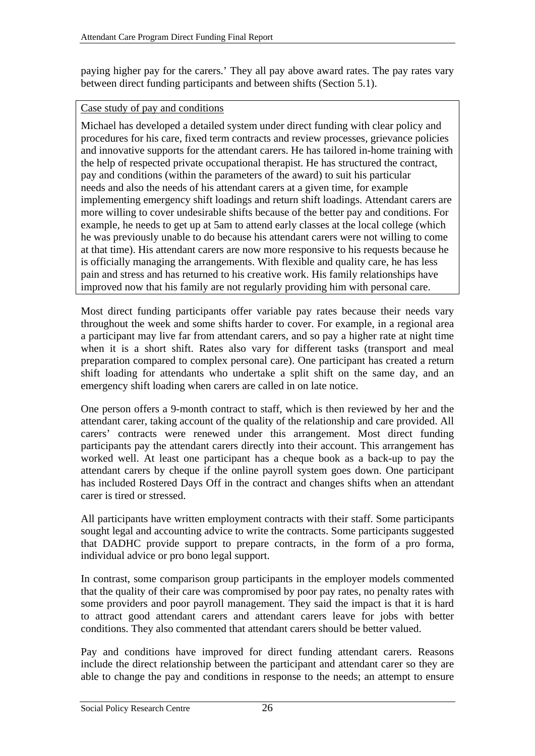paying higher pay for the carers.' They all pay above award rates. The pay rates vary between direct funding participants and between shifts (Section [5.1\)](#page-44-1).

#### Case study of pay and conditions

Michael has developed a detailed system under direct funding with clear policy and procedures for his care, fixed term contracts and review processes, grievance policies and innovative supports for the attendant carers. He has tailored in-home training with the help of respected private occupational therapist. He has structured the contract, pay and conditions (within the parameters of the award) to suit his particular needs and also the needs of his attendant carers at a given time, for example implementing emergency shift loadings and return shift loadings. Attendant carers are more willing to cover undesirable shifts because of the better pay and conditions. For example, he needs to get up at 5am to attend early classes at the local college (which he was previously unable to do because his attendant carers were not willing to come at that time). His attendant carers are now more responsive to his requests because he is officially managing the arrangements. With flexible and quality care, he has less pain and stress and has returned to his creative work. His family relationships have improved now that his family are not regularly providing him with personal care.

Most direct funding participants offer variable pay rates because their needs vary throughout the week and some shifts harder to cover. For example, in a regional area a participant may live far from attendant carers, and so pay a higher rate at night time when it is a short shift. Rates also vary for different tasks (transport and meal preparation compared to complex personal care). One participant has created a return shift loading for attendants who undertake a split shift on the same day, and an emergency shift loading when carers are called in on late notice.

One person offers a 9-month contract to staff, which is then reviewed by her and the attendant carer, taking account of the quality of the relationship and care provided. All carers' contracts were renewed under this arrangement. Most direct funding participants pay the attendant carers directly into their account. This arrangement has worked well. At least one participant has a cheque book as a back-up to pay the attendant carers by cheque if the online payroll system goes down. One participant has included Rostered Days Off in the contract and changes shifts when an attendant carer is tired or stressed.

All participants have written employment contracts with their staff. Some participants sought legal and accounting advice to write the contracts. Some participants suggested that DADHC provide support to prepare contracts, in the form of a pro forma, individual advice or pro bono legal support.

In contrast, some comparison group participants in the employer models commented that the quality of their care was compromised by poor pay rates, no penalty rates with some providers and poor payroll management. They said the impact is that it is hard to attract good attendant carers and attendant carers leave for jobs with better conditions. They also commented that attendant carers should be better valued.

Pay and conditions have improved for direct funding attendant carers. Reasons include the direct relationship between the participant and attendant carer so they are able to change the pay and conditions in response to the needs; an attempt to ensure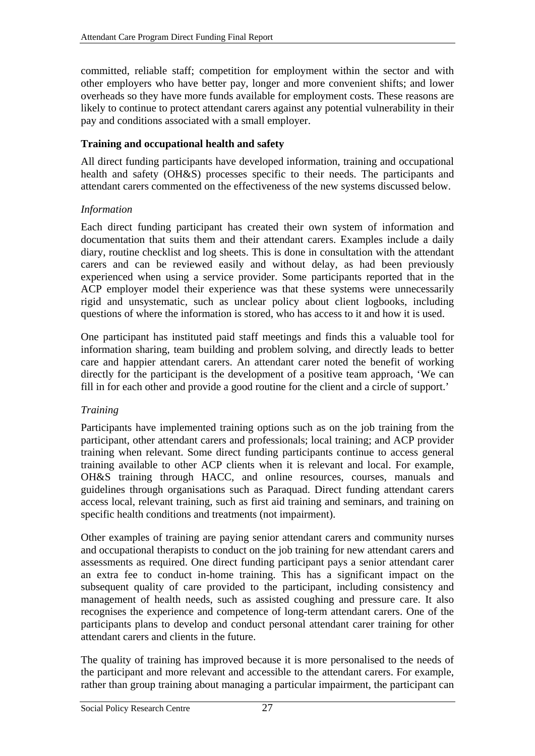<span id="page-36-0"></span>committed, reliable staff; competition for employment within the sector and with other employers who have better pay, longer and more convenient shifts; and lower overheads so they have more funds available for employment costs. These reasons are likely to continue to protect attendant carers against any potential vulnerability in their pay and conditions associated with a small employer.

## **Training and occupational health and safety**

All direct funding participants have developed information, training and occupational health and safety (OH&S) processes specific to their needs. The participants and attendant carers commented on the effectiveness of the new systems discussed below.

## *Information*

Each direct funding participant has created their own system of information and documentation that suits them and their attendant carers. Examples include a daily diary, routine checklist and log sheets. This is done in consultation with the attendant carers and can be reviewed easily and without delay, as had been previously experienced when using a service provider. Some participants reported that in the ACP employer model their experience was that these systems were unnecessarily rigid and unsystematic, such as unclear policy about client logbooks, including questions of where the information is stored, who has access to it and how it is used.

One participant has instituted paid staff meetings and finds this a valuable tool for information sharing, team building and problem solving, and directly leads to better care and happier attendant carers. An attendant carer noted the benefit of working directly for the participant is the development of a positive team approach, 'We can fill in for each other and provide a good routine for the client and a circle of support.'

## *Training*

Participants have implemented training options such as on the job training from the participant, other attendant carers and professionals; local training; and ACP provider training when relevant. Some direct funding participants continue to access general training available to other ACP clients when it is relevant and local. For example, OH&S training through HACC, and online resources, courses, manuals and guidelines through organisations such as Paraquad. Direct funding attendant carers access local, relevant training, such as first aid training and seminars, and training on specific health conditions and treatments (not impairment).

Other examples of training are paying senior attendant carers and community nurses and occupational therapists to conduct on the job training for new attendant carers and assessments as required. One direct funding participant pays a senior attendant carer an extra fee to conduct in-home training. This has a significant impact on the subsequent quality of care provided to the participant, including consistency and management of health needs, such as assisted coughing and pressure care. It also recognises the experience and competence of long-term attendant carers. One of the participants plans to develop and conduct personal attendant carer training for other attendant carers and clients in the future.

The quality of training has improved because it is more personalised to the needs of the participant and more relevant and accessible to the attendant carers. For example, rather than group training about managing a particular impairment, the participant can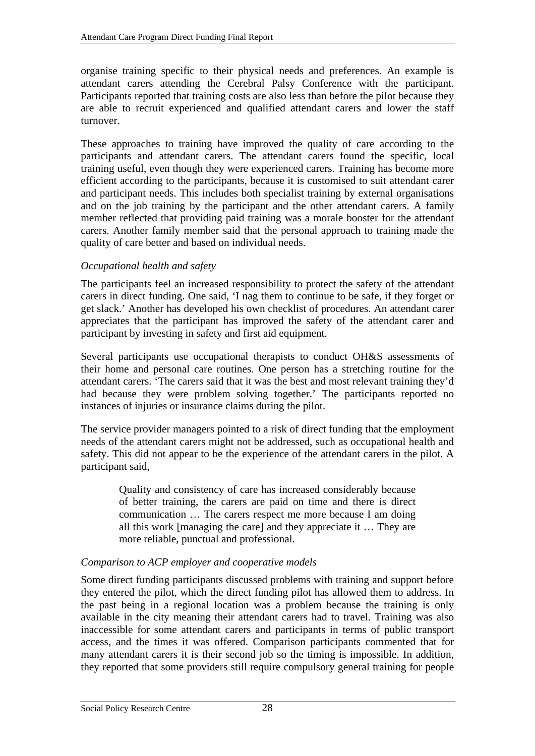organise training specific to their physical needs and preferences. An example is attendant carers attending the Cerebral Palsy Conference with the participant. Participants reported that training costs are also less than before the pilot because they are able to recruit experienced and qualified attendant carers and lower the staff turnover.

These approaches to training have improved the quality of care according to the participants and attendant carers. The attendant carers found the specific, local training useful, even though they were experienced carers. Training has become more efficient according to the participants, because it is customised to suit attendant carer and participant needs. This includes both specialist training by external organisations and on the job training by the participant and the other attendant carers. A family member reflected that providing paid training was a morale booster for the attendant carers. Another family member said that the personal approach to training made the quality of care better and based on individual needs.

## *Occupational health and safety*

The participants feel an increased responsibility to protect the safety of the attendant carers in direct funding. One said, 'I nag them to continue to be safe, if they forget or get slack.' Another has developed his own checklist of procedures. An attendant carer appreciates that the participant has improved the safety of the attendant carer and participant by investing in safety and first aid equipment.

Several participants use occupational therapists to conduct OH&S assessments of their home and personal care routines. One person has a stretching routine for the attendant carers. 'The carers said that it was the best and most relevant training they'd had because they were problem solving together.' The participants reported no instances of injuries or insurance claims during the pilot.

The service provider managers pointed to a risk of direct funding that the employment needs of the attendant carers might not be addressed, such as occupational health and safety. This did not appear to be the experience of the attendant carers in the pilot. A participant said,

> Quality and consistency of care has increased considerably because of better training, the carers are paid on time and there is direct communication … The carers respect me more because I am doing all this work [managing the care] and they appreciate it … They are more reliable, punctual and professional.

## *Comparison to ACP employer and cooperative models*

Some direct funding participants discussed problems with training and support before they entered the pilot, which the direct funding pilot has allowed them to address. In the past being in a regional location was a problem because the training is only available in the city meaning their attendant carers had to travel. Training was also inaccessible for some attendant carers and participants in terms of public transport access, and the times it was offered. Comparison participants commented that for many attendant carers it is their second job so the timing is impossible. In addition, they reported that some providers still require compulsory general training for people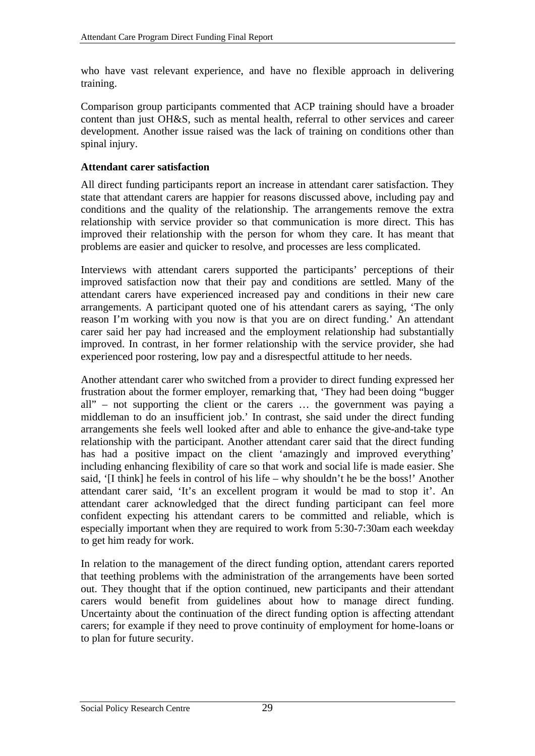<span id="page-38-0"></span>who have vast relevant experience, and have no flexible approach in delivering training.

Comparison group participants commented that ACP training should have a broader content than just OH&S, such as mental health, referral to other services and career development. Another issue raised was the lack of training on conditions other than spinal injury.

#### **Attendant carer satisfaction**

All direct funding participants report an increase in attendant carer satisfaction. They state that attendant carers are happier for reasons discussed above, including pay and conditions and the quality of the relationship. The arrangements remove the extra relationship with service provider so that communication is more direct. This has improved their relationship with the person for whom they care. It has meant that problems are easier and quicker to resolve, and processes are less complicated.

Interviews with attendant carers supported the participants' perceptions of their improved satisfaction now that their pay and conditions are settled. Many of the attendant carers have experienced increased pay and conditions in their new care arrangements. A participant quoted one of his attendant carers as saying, 'The only reason I'm working with you now is that you are on direct funding.' An attendant carer said her pay had increased and the employment relationship had substantially improved. In contrast, in her former relationship with the service provider, she had experienced poor rostering, low pay and a disrespectful attitude to her needs.

Another attendant carer who switched from a provider to direct funding expressed her frustration about the former employer, remarking that, 'They had been doing "bugger all" – not supporting the client or the carers … the government was paying a middleman to do an insufficient job.' In contrast, she said under the direct funding arrangements she feels well looked after and able to enhance the give-and-take type relationship with the participant. Another attendant carer said that the direct funding has had a positive impact on the client 'amazingly and improved everything' including enhancing flexibility of care so that work and social life is made easier. She said, '[I think] he feels in control of his life – why shouldn't he be the boss!' Another attendant carer said, 'It's an excellent program it would be mad to stop it'. An attendant carer acknowledged that the direct funding participant can feel more confident expecting his attendant carers to be committed and reliable, which is especially important when they are required to work from 5:30-7:30am each weekday to get him ready for work.

In relation to the management of the direct funding option, attendant carers reported that teething problems with the administration of the arrangements have been sorted out. They thought that if the option continued, new participants and their attendant carers would benefit from guidelines about how to manage direct funding. Uncertainty about the continuation of the direct funding option is affecting attendant carers; for example if they need to prove continuity of employment for home-loans or to plan for future security.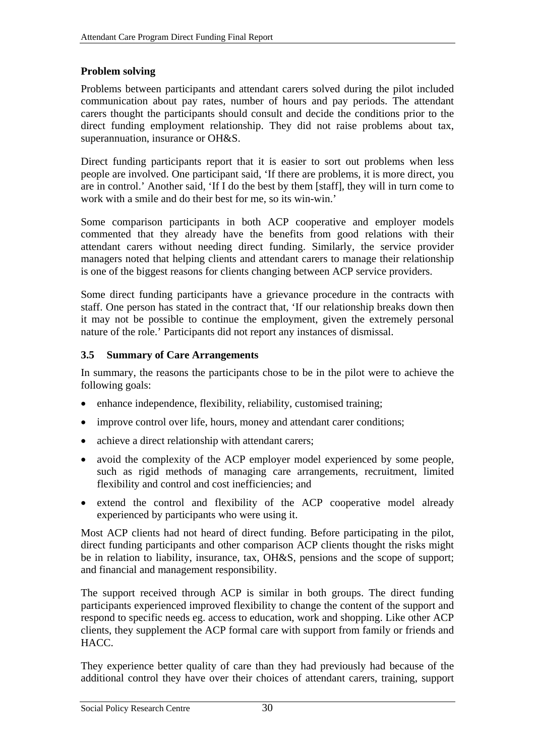#### <span id="page-39-0"></span>**Problem solving**

Problems between participants and attendant carers solved during the pilot included communication about pay rates, number of hours and pay periods. The attendant carers thought the participants should consult and decide the conditions prior to the direct funding employment relationship. They did not raise problems about tax, superannuation, insurance or OH&S.

Direct funding participants report that it is easier to sort out problems when less people are involved. One participant said, 'If there are problems, it is more direct, you are in control.' Another said, 'If I do the best by them [staff], they will in turn come to work with a smile and do their best for me, so its win-win.'

Some comparison participants in both ACP cooperative and employer models commented that they already have the benefits from good relations with their attendant carers without needing direct funding. Similarly, the service provider managers noted that helping clients and attendant carers to manage their relationship is one of the biggest reasons for clients changing between ACP service providers.

Some direct funding participants have a grievance procedure in the contracts with staff. One person has stated in the contract that, 'If our relationship breaks down then it may not be possible to continue the employment, given the extremely personal nature of the role.' Participants did not report any instances of dismissal.

#### <span id="page-39-1"></span>**3.5 Summary of Care Arrangements**

In summary, the reasons the participants chose to be in the pilot were to achieve the following goals:

- enhance independence, flexibility, reliability, customised training;
- improve control over life, hours, money and attendant carer conditions;
- achieve a direct relationship with attendant carers;
- avoid the complexity of the ACP employer model experienced by some people, such as rigid methods of managing care arrangements, recruitment, limited flexibility and control and cost inefficiencies; and
- extend the control and flexibility of the ACP cooperative model already experienced by participants who were using it.

Most ACP clients had not heard of direct funding. Before participating in the pilot, direct funding participants and other comparison ACP clients thought the risks might be in relation to liability, insurance, tax, OH&S, pensions and the scope of support; and financial and management responsibility.

The support received through ACP is similar in both groups. The direct funding participants experienced improved flexibility to change the content of the support and respond to specific needs eg. access to education, work and shopping. Like other ACP clients, they supplement the ACP formal care with support from family or friends and HACC.

They experience better quality of care than they had previously had because of the additional control they have over their choices of attendant carers, training, support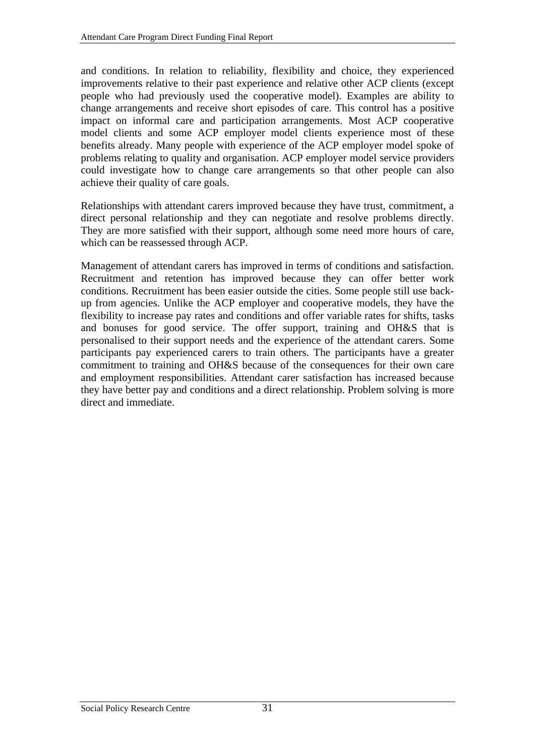and conditions. In relation to reliability, flexibility and choice, they experienced improvements relative to their past experience and relative other ACP clients (except people who had previously used the cooperative model). Examples are ability to change arrangements and receive short episodes of care. This control has a positive impact on informal care and participation arrangements. Most ACP cooperative model clients and some ACP employer model clients experience most of these benefits already. Many people with experience of the ACP employer model spoke of problems relating to quality and organisation. ACP employer model service providers could investigate how to change care arrangements so that other people can also achieve their quality of care goals.

Relationships with attendant carers improved because they have trust, commitment, a direct personal relationship and they can negotiate and resolve problems directly. They are more satisfied with their support, although some need more hours of care, which can be reassessed through ACP.

Management of attendant carers has improved in terms of conditions and satisfaction. Recruitment and retention has improved because they can offer better work conditions. Recruitment has been easier outside the cities. Some people still use backup from agencies. Unlike the ACP employer and cooperative models, they have the flexibility to increase pay rates and conditions and offer variable rates for shifts, tasks and bonuses for good service. The offer support, training and OH&S that is personalised to their support needs and the experience of the attendant carers. Some participants pay experienced carers to train others. The participants have a greater commitment to training and OH&S because of the consequences for their own care and employment responsibilities. Attendant carer satisfaction has increased because they have better pay and conditions and a direct relationship. Problem solving is more direct and immediate.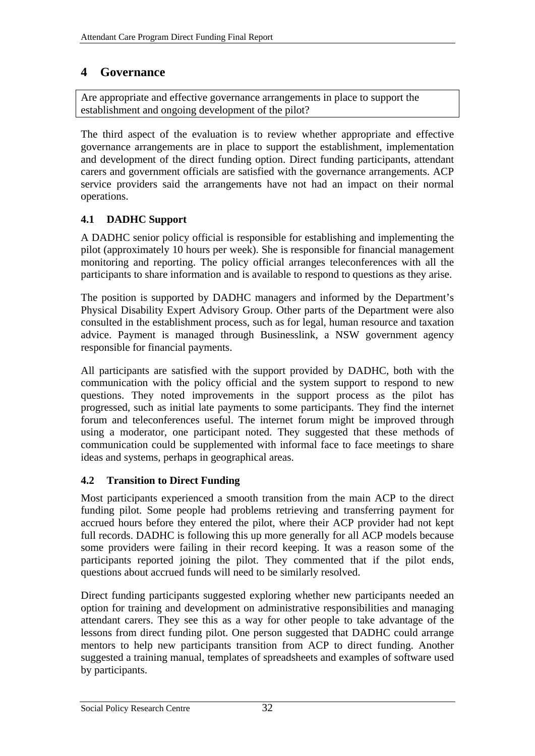# <span id="page-41-0"></span>**4 Governance**

Are appropriate and effective governance arrangements in place to support the establishment and ongoing development of the pilot?

The third aspect of the evaluation is to review whether appropriate and effective governance arrangements are in place to support the establishment, implementation and development of the direct funding option. Direct funding participants, attendant carers and government officials are satisfied with the governance arrangements. ACP service providers said the arrangements have not had an impact on their normal operations.

# **4.1 DADHC Support**

A DADHC senior policy official is responsible for establishing and implementing the pilot (approximately 10 hours per week). She is responsible for financial management monitoring and reporting. The policy official arranges teleconferences with all the participants to share information and is available to respond to questions as they arise.

The position is supported by DADHC managers and informed by the Department's Physical Disability Expert Advisory Group. Other parts of the Department were also consulted in the establishment process, such as for legal, human resource and taxation advice. Payment is managed through Businesslink, a NSW government agency responsible for financial payments.

All participants are satisfied with the support provided by DADHC, both with the communication with the policy official and the system support to respond to new questions. They noted improvements in the support process as the pilot has progressed, such as initial late payments to some participants. They find the internet forum and teleconferences useful. The internet forum might be improved through using a moderator, one participant noted. They suggested that these methods of communication could be supplemented with informal face to face meetings to share ideas and systems, perhaps in geographical areas.

# **4.2 Transition to Direct Funding**

Most participants experienced a smooth transition from the main ACP to the direct funding pilot. Some people had problems retrieving and transferring payment for accrued hours before they entered the pilot, where their ACP provider had not kept full records. DADHC is following this up more generally for all ACP models because some providers were failing in their record keeping. It was a reason some of the participants reported joining the pilot. They commented that if the pilot ends, questions about accrued funds will need to be similarly resolved.

Direct funding participants suggested exploring whether new participants needed an option for training and development on administrative responsibilities and managing attendant carers. They see this as a way for other people to take advantage of the lessons from direct funding pilot. One person suggested that DADHC could arrange mentors to help new participants transition from ACP to direct funding. Another suggested a training manual, templates of spreadsheets and examples of software used by participants.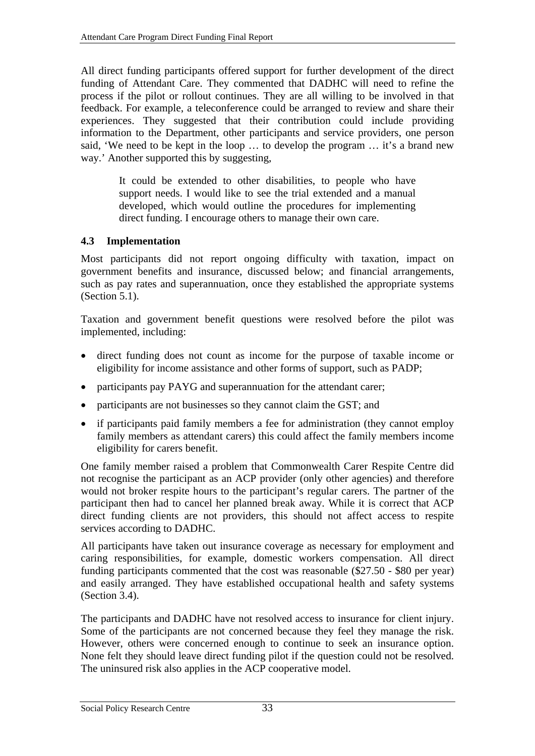<span id="page-42-0"></span>All direct funding participants offered support for further development of the direct funding of Attendant Care. They commented that DADHC will need to refine the process if the pilot or rollout continues. They are all willing to be involved in that feedback. For example, a teleconference could be arranged to review and share their experiences. They suggested that their contribution could include providing information to the Department, other participants and service providers, one person said, 'We need to be kept in the loop … to develop the program … it's a brand new way.' Another supported this by suggesting,

> It could be extended to other disabilities, to people who have support needs. I would like to see the trial extended and a manual developed, which would outline the procedures for implementing direct funding. I encourage others to manage their own care.

# **4.3 Implementation**

Most participants did not report ongoing difficulty with taxation, impact on government benefits and insurance, discussed below; and financial arrangements, such as pay rates and superannuation, once they established the appropriate systems (Section [5.1\)](#page-44-1).

Taxation and government benefit questions were resolved before the pilot was implemented, including:

- direct funding does not count as income for the purpose of taxable income or eligibility for income assistance and other forms of support, such as PADP;
- participants pay PAYG and superannuation for the attendant carer;
- participants are not businesses so they cannot claim the GST; and
- if participants paid family members a fee for administration (they cannot employ family members as attendant carers) this could affect the family members income eligibility for carers benefit.

One family member raised a problem that Commonwealth Carer Respite Centre did not recognise the participant as an ACP provider (only other agencies) and therefore would not broker respite hours to the participant's regular carers. The partner of the participant then had to cancel her planned break away. While it is correct that ACP direct funding clients are not providers, this should not affect access to respite services according to DADHC.

All participants have taken out insurance coverage as necessary for employment and caring responsibilities, for example, domestic workers compensation. All direct funding participants commented that the cost was reasonable (\$27.50 - \$80 per year) and easily arranged. They have established occupational health and safety systems (Section [3.4\)](#page-32-1).

The participants and DADHC have not resolved access to insurance for client injury. Some of the participants are not concerned because they feel they manage the risk. However, others were concerned enough to continue to seek an insurance option. None felt they should leave direct funding pilot if the question could not be resolved. The uninsured risk also applies in the ACP cooperative model.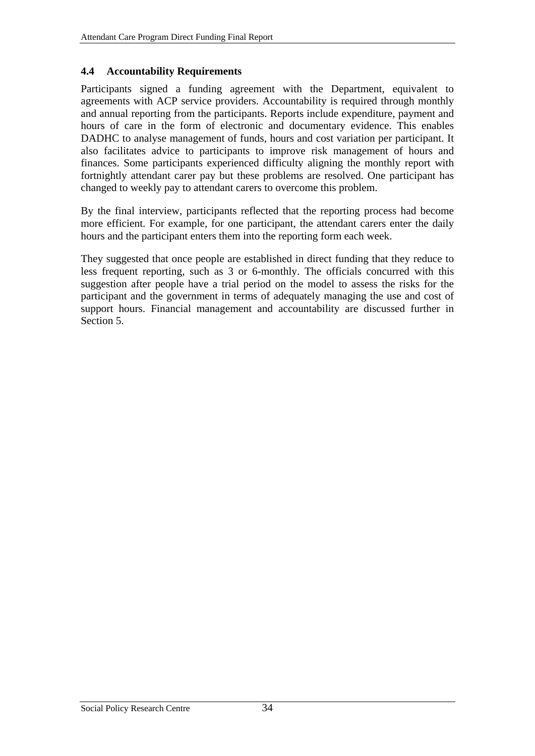#### <span id="page-43-0"></span>**4.4 Accountability Requirements**

Participants signed a funding agreement with the Department, equivalent to agreements with ACP service providers. Accountability is required through monthly and annual reporting from the participants. Reports include expenditure, payment and hours of care in the form of electronic and documentary evidence. This enables DADHC to analyse management of funds, hours and cost variation per participant. It also facilitates advice to participants to improve risk management of hours and finances. Some participants experienced difficulty aligning the monthly report with fortnightly attendant carer pay but these problems are resolved. One participant has changed to weekly pay to attendant carers to overcome this problem.

By the final interview, participants reflected that the reporting process had become more efficient. For example, for one participant, the attendant carers enter the daily hours and the participant enters them into the reporting form each week.

They suggested that once people are established in direct funding that they reduce to less frequent reporting, such as 3 or 6-monthly. The officials concurred with this suggestion after people have a trial period on the model to assess the risks for the participant and the government in terms of adequately managing the use and cost of support hours. Financial management and accountability are discussed further in Section [5](#page-44-2).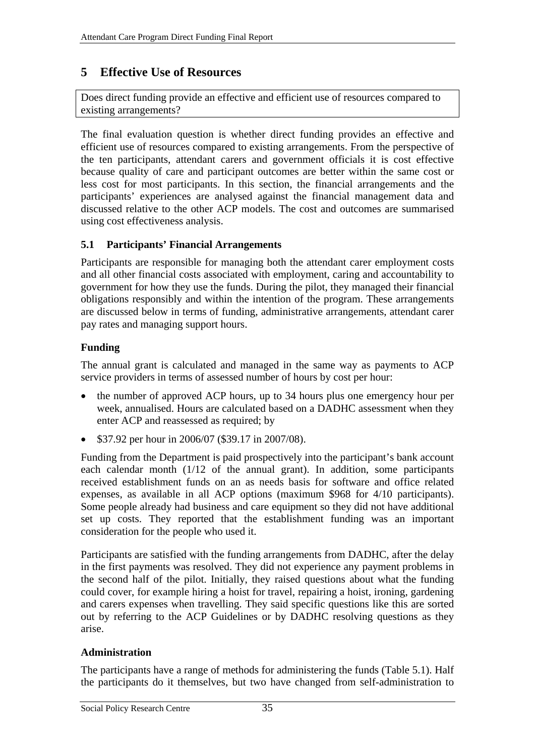# <span id="page-44-2"></span><span id="page-44-0"></span>**5 Effective Use of Resources**

Does direct funding provide an effective and efficient use of resources compared to existing arrangements?

The final evaluation question is whether direct funding provides an effective and efficient use of resources compared to existing arrangements. From the perspective of the ten participants, attendant carers and government officials it is cost effective because quality of care and participant outcomes are better within the same cost or less cost for most participants. In this section, the financial arrangements and the participants' experiences are analysed against the financial management data and discussed relative to the other ACP models. The cost and outcomes are summarised using cost effectiveness analysis.

# <span id="page-44-1"></span>**5.1 Participants' Financial Arrangements**

Participants are responsible for managing both the attendant carer employment costs and all other financial costs associated with employment, caring and accountability to government for how they use the funds. During the pilot, they managed their financial obligations responsibly and within the intention of the program. These arrangements are discussed below in terms of funding, administrative arrangements, attendant carer pay rates and managing support hours.

# **Funding**

The annual grant is calculated and managed in the same way as payments to ACP service providers in terms of assessed number of hours by cost per hour:

- the number of approved ACP hours, up to 34 hours plus one emergency hour per week, annualised. Hours are calculated based on a DADHC assessment when they enter ACP and reassessed as required; by
- \$37.92 per hour in 2006/07 (\$39.17 in 2007/08).

Funding from the Department is paid prospectively into the participant's bank account each calendar month  $(1/12)$  of the annual grant). In addition, some participants received establishment funds on an as needs basis for software and office related expenses, as available in all ACP options (maximum \$968 for 4/10 participants). Some people already had business and care equipment so they did not have additional set up costs. They reported that the establishment funding was an important consideration for the people who used it.

Participants are satisfied with the funding arrangements from DADHC, after the delay in the first payments was resolved. They did not experience any payment problems in the second half of the pilot. Initially, they raised questions about what the funding could cover, for example hiring a hoist for travel, repairing a hoist, ironing, gardening and carers expenses when travelling. They said specific questions like this are sorted out by referring to the ACP Guidelines or by DADHC resolving questions as they arise.

## **Administration**

The participants have a range of methods for administering the funds ([Table 5.1\)](#page-45-1). Half the participants do it themselves, but two have changed from self-administration to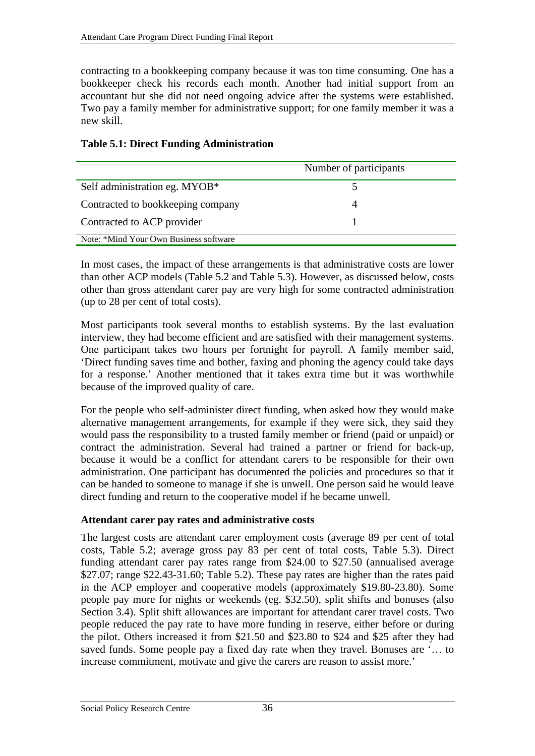<span id="page-45-0"></span>contracting to a bookkeeping company because it was too time consuming. One has a bookkeeper check his records each month. Another had initial support from an accountant but she did not need ongoing advice after the systems were established. Two pay a family member for administrative support; for one family member it was a new skill.

|                                        | Number of participants |
|----------------------------------------|------------------------|
| Self administration eg. MYOB*          |                        |
| Contracted to bookkeeping company      | Δ                      |
| Contracted to ACP provider             |                        |
| Note: *Mind Your Own Business software |                        |

## <span id="page-45-1"></span>**Table 5.1: Direct Funding Administration**

In most cases, the impact of these arrangements is that administrative costs are lower than other ACP models ([Table 5.2](#page-46-1) and [Table 5.3\)](#page-47-1). However, as discussed below, costs other than gross attendant carer pay are very high for some contracted administration (up to 28 per cent of total costs).

Most participants took several months to establish systems. By the last evaluation interview, they had become efficient and are satisfied with their management systems. One participant takes two hours per fortnight for payroll. A family member said, 'Direct funding saves time and bother, faxing and phoning the agency could take days for a response.' Another mentioned that it takes extra time but it was worthwhile because of the improved quality of care.

For the people who self-administer direct funding, when asked how they would make alternative management arrangements, for example if they were sick, they said they would pass the responsibility to a trusted family member or friend (paid or unpaid) or contract the administration. Several had trained a partner or friend for back-up, because it would be a conflict for attendant carers to be responsible for their own administration. One participant has documented the policies and procedures so that it can be handed to someone to manage if she is unwell. One person said he would leave direct funding and return to the cooperative model if he became unwell.

## **Attendant carer pay rates and administrative costs**

The largest costs are attendant carer employment costs (average 89 per cent of total costs, [Table 5.2](#page-46-1); average gross pay 83 per cent of total costs, [Table 5.3\)](#page-47-1). Direct funding attendant carer pay rates range from \$24.00 to \$27.50 (annualised average \$27.07; range \$22.43-31.60; [Table 5.2\)](#page-46-1). These pay rates are higher than the rates paid in the ACP employer and cooperative models (approximately \$19.80-23.80). Some people pay more for nights or weekends (eg. \$32.50), split shifts and bonuses (also Section [3.4](#page-32-1)). Split shift allowances are important for attendant carer travel costs. Two people reduced the pay rate to have more funding in reserve, either before or during the pilot. Others increased it from \$21.50 and \$23.80 to \$24 and \$25 after they had saved funds. Some people pay a fixed day rate when they travel. Bonuses are '… to increase commitment, motivate and give the carers are reason to assist more.'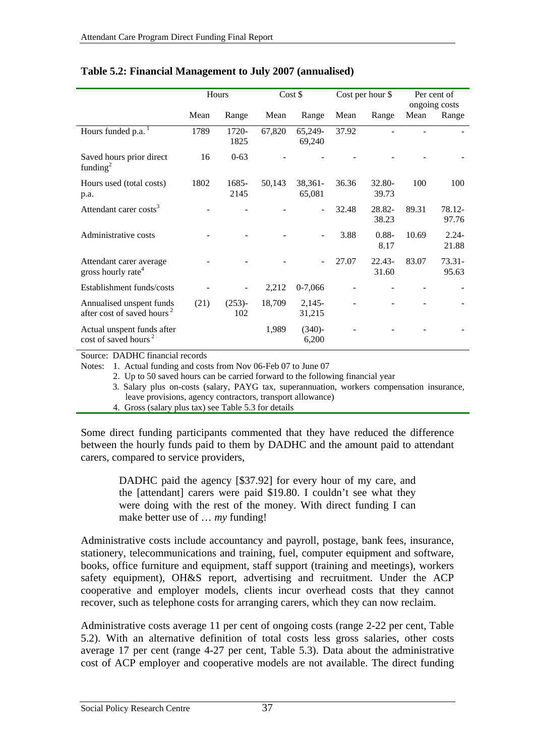<span id="page-46-1"></span>

|                                                                    | Hours |                  |        | Cost \$            |       | Cost per hour \$ | Per cent of<br>ongoing costs |                    |
|--------------------------------------------------------------------|-------|------------------|--------|--------------------|-------|------------------|------------------------------|--------------------|
|                                                                    | Mean  | Range            | Mean   | Range              | Mean  | Range            | Mean                         | Range              |
| Hours funded p.a.                                                  | 1789  | 1720-<br>1825    | 67,820 | 65,249-<br>69,240  | 37.92 |                  |                              |                    |
| Saved hours prior direct<br>funding <sup>2</sup>                   | 16    | $0 - 63$         |        |                    |       |                  |                              |                    |
| Hours used (total costs)<br>p.a.                                   | 1802  | 1685-<br>2145    | 50,143 | 38,361-<br>65,081  | 36.36 | 32.80-<br>39.73  | 100                          | 100                |
| Attendant carer costs <sup>3</sup>                                 |       |                  |        |                    | 32.48 | 28.82-<br>38.23  | 89.31                        | 78.12-<br>97.76    |
| Administrative costs                                               |       |                  |        |                    | 3.88  | $0.88 -$<br>8.17 | 10.69                        | $2.24 -$<br>21.88  |
| Attendant carer average<br>gross hourly rate <sup>4</sup>          |       |                  |        |                    | 27.07 | 22.43-<br>31.60  | 83.07                        | $73.31 -$<br>95.63 |
| Establishment funds/costs                                          |       |                  | 2,212  | $0-7,066$          |       |                  |                              |                    |
| Annualised unspent funds<br>after cost of saved hours <sup>2</sup> | (21)  | $(253)$ -<br>102 | 18,709 | $2,145-$<br>31,215 |       |                  |                              |                    |
| Actual unspent funds after<br>cost of saved hours <sup>2</sup>     |       |                  | 1,989  | $(340)$ -<br>6,200 |       |                  |                              |                    |

#### <span id="page-46-0"></span>**Table 5.2: Financial Management to July 2007 (annualised)**

Source: DADHC financial records

Notes: 1. Actual funding and costs from Nov 06-Feb 07 to June 07

2. Up to 50 saved hours can be carried forward to the following financial year

3. Salary plus on-costs (salary, PAYG tax, superannuation, workers compensation insurance, leave provisions, agency contractors, transport allowance)

4. Gross (salary plus tax) see [Table 5.3](#page-47-1) for details

Some direct funding participants commented that they have reduced the difference between the hourly funds paid to them by DADHC and the amount paid to attendant carers, compared to service providers,

> DADHC paid the agency [\$37.92] for every hour of my care, and the [attendant] carers were paid \$19.80. I couldn't see what they were doing with the rest of the money. With direct funding I can make better use of … *my* funding!

Administrative costs include accountancy and payroll, postage, bank fees, insurance, stationery, telecommunications and training, fuel, computer equipment and software, books, office furniture and equipment, staff support (training and meetings), workers safety equipment), OH&S report, advertising and recruitment. Under the ACP cooperative and employer models, clients incur overhead costs that they cannot recover, such as telephone costs for arranging carers, which they can now reclaim.

Administrative costs average 11 per cent of ongoing costs (range 2-22 per cent, [Table](#page-46-1)  [5.2](#page-46-1)). With an alternative definition of total costs less gross salaries, other costs average 17 per cent (range 4-27 per cent, [Table 5.3\)](#page-47-1). Data about the administrative cost of ACP employer and cooperative models are not available. The direct funding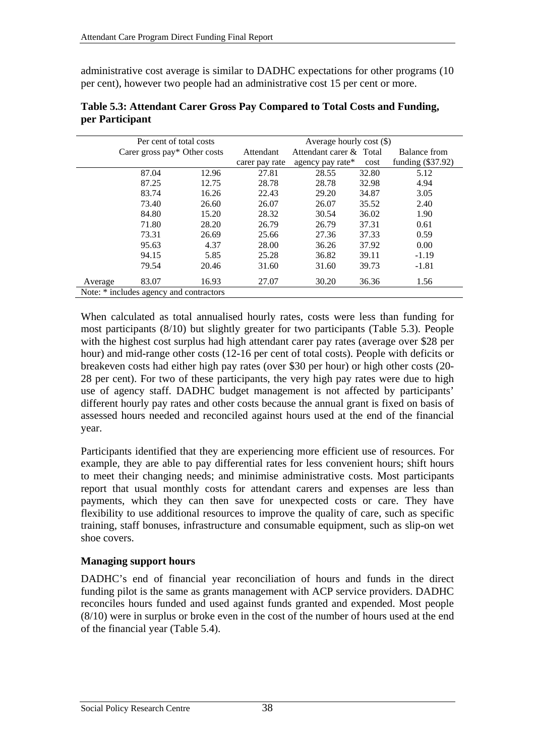<span id="page-47-0"></span>administrative cost average is similar to DADHC expectations for other programs (10 per cent), however two people had an administrative cost 15 per cent or more.

<span id="page-47-1"></span>

|         | Per cent of total costs                 |       |                | Average hourly cost $(\$)$ |       |                     |  |  |  |
|---------|-----------------------------------------|-------|----------------|----------------------------|-------|---------------------|--|--|--|
|         | Carer gross pay* Other costs            |       | Attendant      | Attendant carer & Total    |       | Balance from        |  |  |  |
|         |                                         |       | carer pay rate | agency pay rate*           | cost  | funding $(\$37.92)$ |  |  |  |
|         | 87.04                                   | 12.96 | 27.81          | 28.55                      | 32.80 | 5.12                |  |  |  |
|         | 87.25                                   | 12.75 | 28.78          | 28.78                      | 32.98 | 4.94                |  |  |  |
|         | 83.74                                   | 16.26 | 22.43          | 29.20                      | 34.87 | 3.05                |  |  |  |
|         | 73.40                                   | 26.60 | 26.07          | 26.07                      | 35.52 | 2.40                |  |  |  |
|         | 84.80                                   | 15.20 | 28.32          | 30.54                      | 36.02 | 1.90                |  |  |  |
|         | 71.80                                   | 28.20 | 26.79          | 26.79                      | 37.31 | 0.61                |  |  |  |
|         | 73.31                                   | 26.69 | 25.66          | 27.36                      | 37.33 | 0.59                |  |  |  |
|         | 95.63                                   | 4.37  | 28.00          | 36.26                      | 37.92 | 0.00                |  |  |  |
|         | 94.15                                   | 5.85  | 25.28          | 36.82                      | 39.11 | $-1.19$             |  |  |  |
|         | 79.54                                   | 20.46 | 31.60          | 31.60                      | 39.73 | $-1.81$             |  |  |  |
| Average | 83.07                                   | 16.93 | 27.07          | 30.20                      | 36.36 | 1.56                |  |  |  |
|         | Note: * includes agency and contractors |       |                |                            |       |                     |  |  |  |

| Table 5.3: Attendant Carer Gross Pay Compared to Total Costs and Funding, |  |  |  |
|---------------------------------------------------------------------------|--|--|--|
| per Participant                                                           |  |  |  |

When calculated as total annualised hourly rates, costs were less than funding for most participants (8/10) but slightly greater for two participants ([Table 5.3](#page-47-1)). People with the highest cost surplus had high attendant carer pay rates (average over \$28 per hour) and mid-range other costs (12-16 per cent of total costs). People with deficits or breakeven costs had either high pay rates (over \$30 per hour) or high other costs (20- 28 per cent). For two of these participants, the very high pay rates were due to high use of agency staff. DADHC budget management is not affected by participants' different hourly pay rates and other costs because the annual grant is fixed on basis of assessed hours needed and reconciled against hours used at the end of the financial year.

Participants identified that they are experiencing more efficient use of resources. For example, they are able to pay differential rates for less convenient hours; shift hours to meet their changing needs; and minimise administrative costs. Most participants report that usual monthly costs for attendant carers and expenses are less than payments, which they can then save for unexpected costs or care. They have flexibility to use additional resources to improve the quality of care, such as specific training, staff bonuses, infrastructure and consumable equipment, such as slip-on wet shoe covers.

## **Managing support hours**

DADHC's end of financial year reconciliation of hours and funds in the direct funding pilot is the same as grants management with ACP service providers. DADHC reconciles hours funded and used against funds granted and expended. Most people (8/10) were in surplus or broke even in the cost of the number of hours used at the end of the financial year [\(Table 5.4\)](#page-48-1).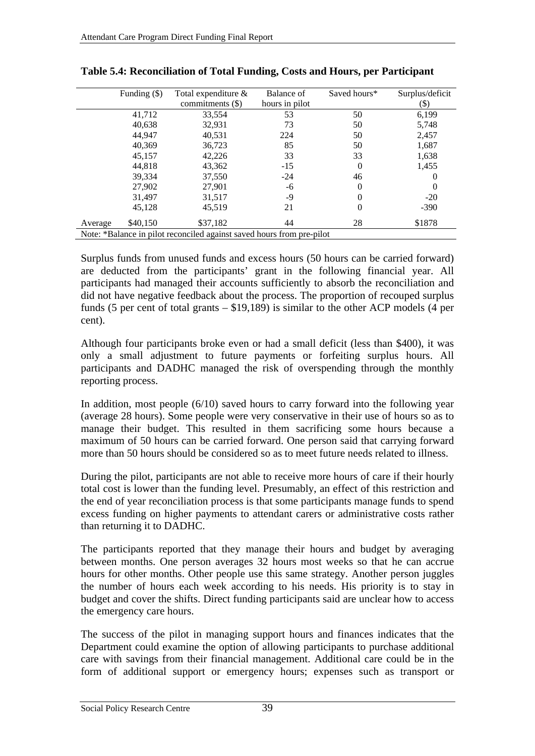<span id="page-48-1"></span>

|                                                                       | Funding $(\$)$ | Total expenditure $\&$<br>commitments (\$) | Balance of<br>hours in pilot | Saved hours* | Surplus/deficit<br>(\$) |  |
|-----------------------------------------------------------------------|----------------|--------------------------------------------|------------------------------|--------------|-------------------------|--|
|                                                                       | 41,712         | 33,554                                     | 53                           | 50           | 6,199                   |  |
|                                                                       | 40,638         | 32,931                                     | 73                           | 50           | 5,748                   |  |
|                                                                       | 44.947         | 40,531                                     | 224                          | 50           | 2,457                   |  |
|                                                                       | 40,369         | 36,723                                     | 85                           | 50           | 1,687                   |  |
|                                                                       | 45,157         | 42,226                                     | 33                           | 33           | 1,638                   |  |
|                                                                       | 44,818         | 43,362                                     | $-15$                        | 0            | 1,455                   |  |
|                                                                       | 39,334         | 37,550                                     | $-24$                        | 46           |                         |  |
|                                                                       | 27,902         | 27,901                                     | -6                           | $\theta$     |                         |  |
|                                                                       | 31,497         | 31,517                                     | -9                           | 0            | $-20$                   |  |
|                                                                       | 45,128         | 45,519                                     | 21                           | 0            | $-390$                  |  |
| Average                                                               | \$40,150       | \$37,182                                   | 44                           | 28           | \$1878                  |  |
| Note: *Balance in pilot reconciled against saved hours from pre-pilot |                |                                            |                              |              |                         |  |

<span id="page-48-0"></span>

Surplus funds from unused funds and excess hours (50 hours can be carried forward) are deducted from the participants' grant in the following financial year. All participants had managed their accounts sufficiently to absorb the reconciliation and did not have negative feedback about the process. The proportion of recouped surplus funds (5 per cent of total grants – \$19,189) is similar to the other ACP models (4 per cent).

Although four participants broke even or had a small deficit (less than \$400), it was only a small adjustment to future payments or forfeiting surplus hours. All participants and DADHC managed the risk of overspending through the monthly reporting process.

In addition, most people (6/10) saved hours to carry forward into the following year (average 28 hours). Some people were very conservative in their use of hours so as to manage their budget. This resulted in them sacrificing some hours because a maximum of 50 hours can be carried forward. One person said that carrying forward more than 50 hours should be considered so as to meet future needs related to illness.

During the pilot, participants are not able to receive more hours of care if their hourly total cost is lower than the funding level. Presumably, an effect of this restriction and the end of year reconciliation process is that some participants manage funds to spend excess funding on higher payments to attendant carers or administrative costs rather than returning it to DADHC.

The participants reported that they manage their hours and budget by averaging between months. One person averages 32 hours most weeks so that he can accrue hours for other months. Other people use this same strategy. Another person juggles the number of hours each week according to his needs. His priority is to stay in budget and cover the shifts. Direct funding participants said are unclear how to access the emergency care hours.

The success of the pilot in managing support hours and finances indicates that the Department could examine the option of allowing participants to purchase additional care with savings from their financial management. Additional care could be in the form of additional support or emergency hours; expenses such as transport or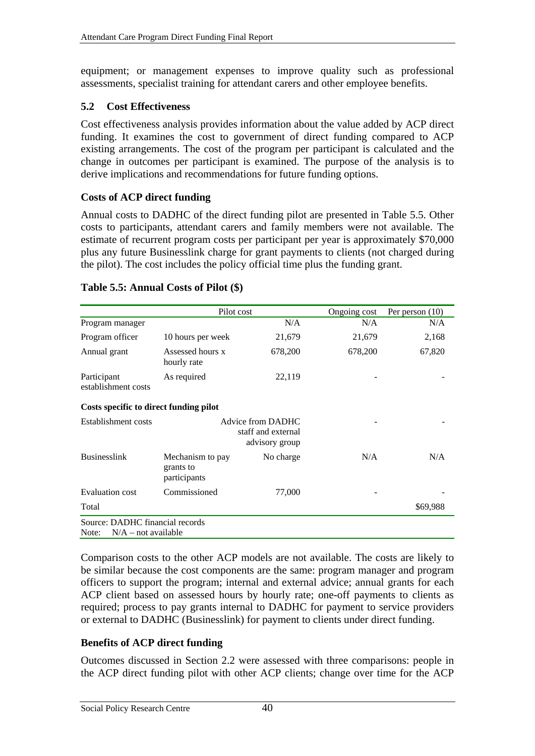<span id="page-49-0"></span>equipment; or management expenses to improve quality such as professional assessments, specialist training for attendant carers and other employee benefits.

#### **5.2 Cost Effectiveness**

Cost effectiveness analysis provides information about the value added by ACP direct funding. It examines the cost to government of direct funding compared to ACP existing arrangements. The cost of the program per participant is calculated and the change in outcomes per participant is examined. The purpose of the analysis is to derive implications and recommendations for future funding options.

## **Costs of ACP direct funding**

Annual costs to DADHC of the direct funding pilot are presented in [Table 5.5](#page-49-1). Other costs to participants, attendant carers and family members were not available. The estimate of recurrent program costs per participant per year is approximately \$70,000 plus any future Businesslink charge for grant payments to clients (not charged during the pilot). The cost includes the policy official time plus the funding grant.

|                                                                   |                                               | Pilot cost                                                | Ongoing cost | Per person $(10)$ |  |  |  |  |
|-------------------------------------------------------------------|-----------------------------------------------|-----------------------------------------------------------|--------------|-------------------|--|--|--|--|
| Program manager                                                   |                                               | N/A                                                       | N/A          | N/A               |  |  |  |  |
| Program officer                                                   | 10 hours per week                             | 21,679                                                    | 21,679       | 2,168             |  |  |  |  |
| Annual grant                                                      | Assessed hours x<br>hourly rate               | 678,200                                                   | 678,200      | 67,820            |  |  |  |  |
| Participant<br>establishment costs                                | As required                                   | 22,119                                                    |              |                   |  |  |  |  |
| Costs specific to direct funding pilot                            |                                               |                                                           |              |                   |  |  |  |  |
| Establishment costs                                               |                                               | Advice from DADHC<br>staff and external<br>advisory group |              |                   |  |  |  |  |
| <b>Businesslink</b>                                               | Mechanism to pay<br>grants to<br>participants | No charge                                                 | N/A          | N/A               |  |  |  |  |
| <b>Evaluation cost</b>                                            | Commissioned                                  | 77,000                                                    |              |                   |  |  |  |  |
| Total                                                             |                                               |                                                           |              | \$69,988          |  |  |  |  |
| Source: DADHC financial records<br>Note:<br>$N/A$ – not available |                                               |                                                           |              |                   |  |  |  |  |

#### <span id="page-49-1"></span>**Table 5.5: Annual Costs of Pilot (\$)**

Comparison costs to the other ACP models are not available. The costs are likely to be similar because the cost components are the same: program manager and program officers to support the program; internal and external advice; annual grants for each ACP client based on assessed hours by hourly rate; one-off payments to clients as required; process to pay grants internal to DADHC for payment to service providers or external to DADHC (Businesslink) for payment to clients under direct funding.

## **Benefits of ACP direct funding**

Outcomes discussed in Section [2.2](#page-13-1) were assessed with three comparisons: people in the ACP direct funding pilot with other ACP clients; change over time for the ACP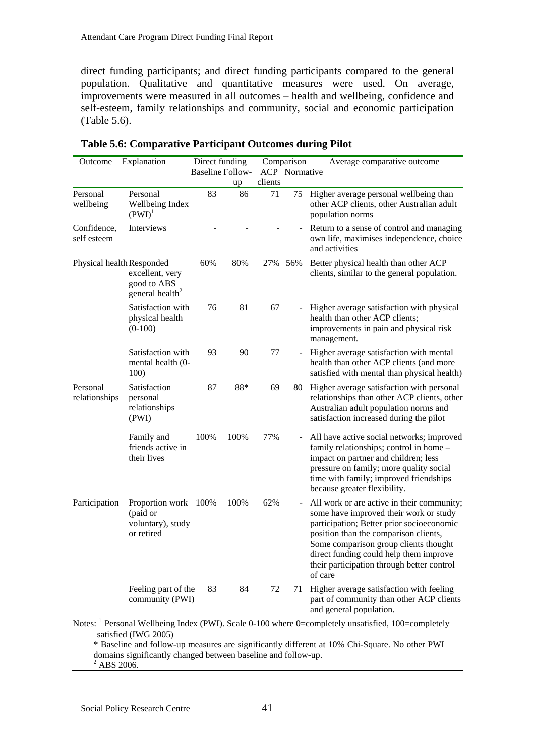<span id="page-50-0"></span>direct funding participants; and direct funding participants compared to the general population. Qualitative and quantitative measures were used. On average, improvements were measured in all outcomes – health and wellbeing, confidence and self-esteem, family relationships and community, social and economic participation ([Table 5.6](#page-50-1)).

<span id="page-50-1"></span>

| Outcome                                                                                                                                                                                                                                  | Explanation                                                                                | Direct funding |                         |         | Comparison                   | Average comparative outcome                                                                                                                                                                                                                                                                                            |
|------------------------------------------------------------------------------------------------------------------------------------------------------------------------------------------------------------------------------------------|--------------------------------------------------------------------------------------------|----------------|-------------------------|---------|------------------------------|------------------------------------------------------------------------------------------------------------------------------------------------------------------------------------------------------------------------------------------------------------------------------------------------------------------------|
|                                                                                                                                                                                                                                          |                                                                                            |                | <b>Baseline Follow-</b> |         | <b>ACP</b> Normative         |                                                                                                                                                                                                                                                                                                                        |
|                                                                                                                                                                                                                                          |                                                                                            |                | up                      | clients |                              |                                                                                                                                                                                                                                                                                                                        |
| Personal<br>wellbeing                                                                                                                                                                                                                    | Personal<br>Wellbeing Index<br>$(PWI)^{1}$                                                 | 83             | 86                      | 71      | 75                           | Higher average personal wellbeing than<br>other ACP clients, other Australian adult<br>population norms                                                                                                                                                                                                                |
| Confidence,<br>self esteem                                                                                                                                                                                                               | Interviews                                                                                 |                |                         |         | $\overline{\phantom{0}}$     | Return to a sense of control and managing<br>own life, maximises independence, choice<br>and activities                                                                                                                                                                                                                |
|                                                                                                                                                                                                                                          | Physical health Responded<br>excellent, very<br>good to ABS<br>general health <sup>2</sup> | 60%            | 80%                     | 27%     | 56%                          | Better physical health than other ACP<br>clients, similar to the general population.                                                                                                                                                                                                                                   |
|                                                                                                                                                                                                                                          | Satisfaction with<br>physical health<br>$(0-100)$                                          | 76             | 81                      | 67      | $\blacksquare$               | Higher average satisfaction with physical<br>health than other ACP clients;<br>improvements in pain and physical risk<br>management.                                                                                                                                                                                   |
|                                                                                                                                                                                                                                          | Satisfaction with<br>mental health (0-<br>100)                                             | 93             | 90                      | 77      | ÷,                           | Higher average satisfaction with mental<br>health than other ACP clients (and more<br>satisfied with mental than physical health)                                                                                                                                                                                      |
| Personal<br>relationships                                                                                                                                                                                                                | Satisfaction<br>personal<br>relationships<br>(PWI)                                         | 87             | 88*                     | 69      | 80                           | Higher average satisfaction with personal<br>relationships than other ACP clients, other<br>Australian adult population norms and<br>satisfaction increased during the pilot                                                                                                                                           |
|                                                                                                                                                                                                                                          | Family and<br>friends active in<br>their lives                                             | 100%           | 100%                    | 77%     | $\blacksquare$               | All have active social networks; improved<br>family relationships; control in home -<br>impact on partner and children; less<br>pressure on family; more quality social<br>time with family; improved friendships<br>because greater flexibility.                                                                      |
| Participation                                                                                                                                                                                                                            | Proportion work 100%<br>(paid or<br>voluntary), study<br>or retired                        |                | 100%                    | 62%     | $\qquad \qquad \blacksquare$ | All work or are active in their community;<br>some have improved their work or study<br>participation; Better prior socioeconomic<br>position than the comparison clients,<br>Some comparison group clients thought<br>direct funding could help them improve<br>their participation through better control<br>of care |
|                                                                                                                                                                                                                                          | Feeling part of the<br>community (PWI)                                                     | 83             | 84                      | 72      | 71                           | Higher average satisfaction with feeling<br>part of community than other ACP clients<br>and general population.                                                                                                                                                                                                        |
| Notes: <sup>1.</sup> Personal Wellbeing Index (PWI). Scale 0-100 where 0=completely unsatisfied, 100=completely<br>satisfied (IWG 2005)<br>* Baseline and follow-up measures are significantly different at 10% Chi-Square. No other PWI |                                                                                            |                |                         |         |                              |                                                                                                                                                                                                                                                                                                                        |

**Table 5.6: Comparative Participant Outcomes during Pilot** 

domains significantly changed between baseline and follow-up. 2 ABS 2006.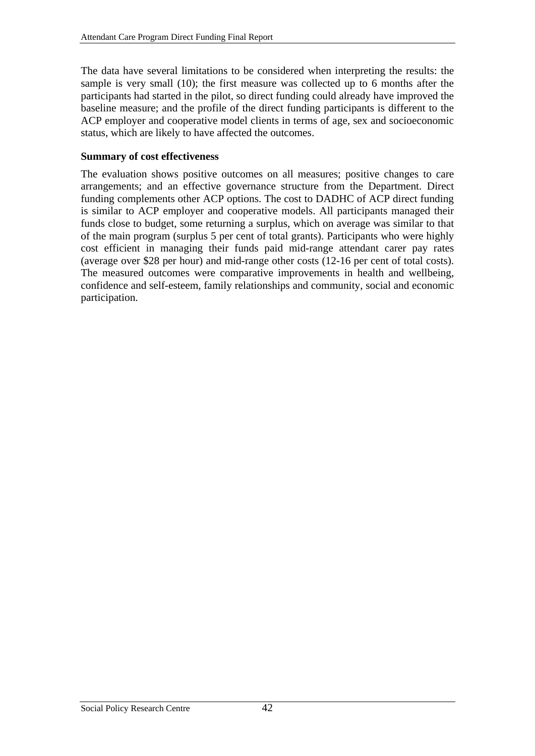<span id="page-51-0"></span>The data have several limitations to be considered when interpreting the results: the sample is very small (10); the first measure was collected up to 6 months after the participants had started in the pilot, so direct funding could already have improved the baseline measure; and the profile of the direct funding participants is different to the ACP employer and cooperative model clients in terms of age, sex and socioeconomic status, which are likely to have affected the outcomes.

#### **Summary of cost effectiveness**

The evaluation shows positive outcomes on all measures; positive changes to care arrangements; and an effective governance structure from the Department. Direct funding complements other ACP options. The cost to DADHC of ACP direct funding is similar to ACP employer and cooperative models. All participants managed their funds close to budget, some returning a surplus, which on average was similar to that of the main program (surplus 5 per cent of total grants). Participants who were highly cost efficient in managing their funds paid mid-range attendant carer pay rates (average over \$28 per hour) and mid-range other costs (12-16 per cent of total costs). The measured outcomes were comparative improvements in health and wellbeing, confidence and self-esteem, family relationships and community, social and economic participation.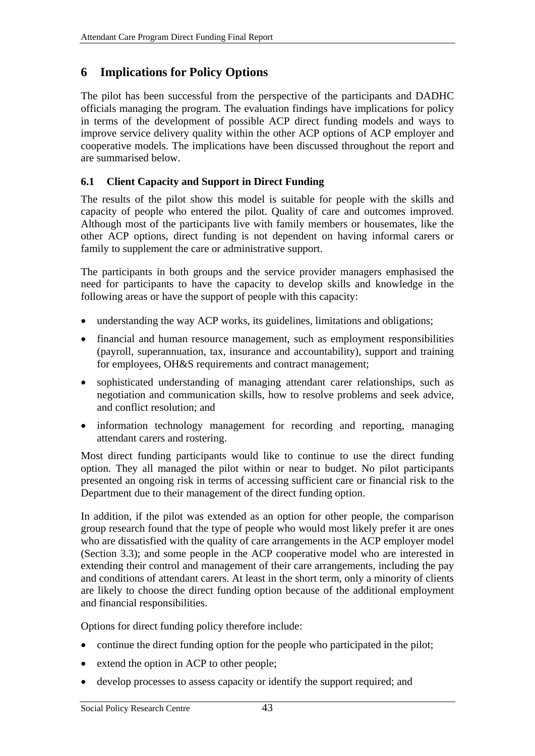# <span id="page-52-0"></span>**6 Implications for Policy Options**

The pilot has been successful from the perspective of the participants and DADHC officials managing the program. The evaluation findings have implications for policy in terms of the development of possible ACP direct funding models and ways to improve service delivery quality within the other ACP options of ACP employer and cooperative models. The implications have been discussed throughout the report and are summarised below.

# **6.1 Client Capacity and Support in Direct Funding**

The results of the pilot show this model is suitable for people with the skills and capacity of people who entered the pilot. Quality of care and outcomes improved. Although most of the participants live with family members or housemates, like the other ACP options, direct funding is not dependent on having informal carers or family to supplement the care or administrative support.

The participants in both groups and the service provider managers emphasised the need for participants to have the capacity to develop skills and knowledge in the following areas or have the support of people with this capacity:

- understanding the way ACP works, its guidelines, limitations and obligations;
- financial and human resource management, such as employment responsibilities (payroll, superannuation, tax, insurance and accountability), support and training for employees, OH&S requirements and contract management;
- sophisticated understanding of managing attendant carer relationships, such as negotiation and communication skills, how to resolve problems and seek advice, and conflict resolution; and
- information technology management for recording and reporting, managing attendant carers and rostering.

Most direct funding participants would like to continue to use the direct funding option. They all managed the pilot within or near to budget. No pilot participants presented an ongoing risk in terms of accessing sufficient care or financial risk to the Department due to their management of the direct funding option.

In addition, if the pilot was extended as an option for other people, the comparison group research found that the type of people who would most likely prefer it are ones who are dissatisfied with the quality of care arrangements in the ACP employer model (Section [3.3](#page-28-1)); and some people in the ACP cooperative model who are interested in extending their control and management of their care arrangements, including the pay and conditions of attendant carers. At least in the short term, only a minority of clients are likely to choose the direct funding option because of the additional employment and financial responsibilities.

Options for direct funding policy therefore include:

- continue the direct funding option for the people who participated in the pilot;
- extend the option in ACP to other people;
- develop processes to assess capacity or identify the support required; and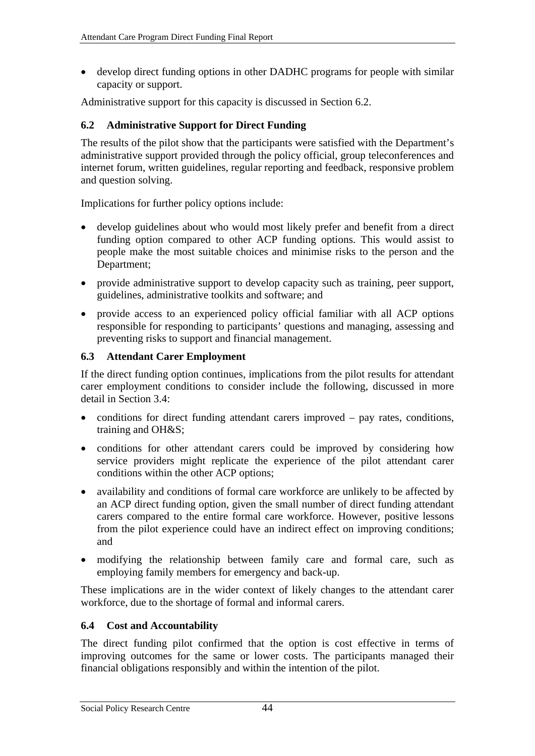<span id="page-53-0"></span>• develop direct funding options in other DADHC programs for people with similar capacity or support.

Administrative support for this capacity is discussed in Section 6.2.

# **6.2 Administrative Support for Direct Funding**

The results of the pilot show that the participants were satisfied with the Department's administrative support provided through the policy official, group teleconferences and internet forum, written guidelines, regular reporting and feedback, responsive problem and question solving.

Implications for further policy options include:

- develop guidelines about who would most likely prefer and benefit from a direct funding option compared to other ACP funding options. This would assist to people make the most suitable choices and minimise risks to the person and the Department;
- provide administrative support to develop capacity such as training, peer support, guidelines, administrative toolkits and software; and
- provide access to an experienced policy official familiar with all ACP options responsible for responding to participants' questions and managing, assessing and preventing risks to support and financial management.

#### **6.3 Attendant Carer Employment**

If the direct funding option continues, implications from the pilot results for attendant carer employment conditions to consider include the following, discussed in more detail in Section [3.4](#page-32-1):

- conditions for direct funding attendant carers improved pay rates, conditions, training and OH&S;
- conditions for other attendant carers could be improved by considering how service providers might replicate the experience of the pilot attendant carer conditions within the other ACP options;
- availability and conditions of formal care workforce are unlikely to be affected by an ACP direct funding option, given the small number of direct funding attendant carers compared to the entire formal care workforce. However, positive lessons from the pilot experience could have an indirect effect on improving conditions; and
- modifying the relationship between family care and formal care, such as employing family members for emergency and back-up.

These implications are in the wider context of likely changes to the attendant carer workforce, due to the shortage of formal and informal carers.

#### **6.4 Cost and Accountability**

The direct funding pilot confirmed that the option is cost effective in terms of improving outcomes for the same or lower costs. The participants managed their financial obligations responsibly and within the intention of the pilot.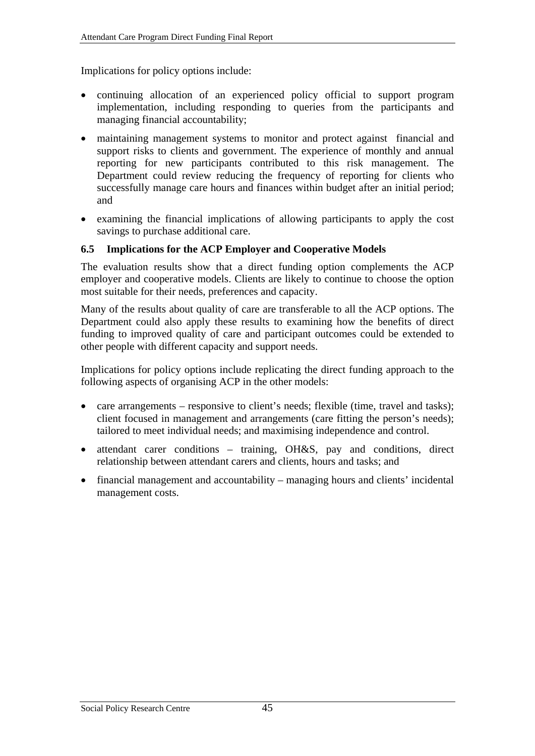<span id="page-54-0"></span>Implications for policy options include:

- continuing allocation of an experienced policy official to support program implementation, including responding to queries from the participants and managing financial accountability;
- maintaining management systems to monitor and protect against financial and support risks to clients and government. The experience of monthly and annual reporting for new participants contributed to this risk management. The Department could review reducing the frequency of reporting for clients who successfully manage care hours and finances within budget after an initial period; and
- examining the financial implications of allowing participants to apply the cost savings to purchase additional care.

#### **6.5 Implications for the ACP Employer and Cooperative Models**

The evaluation results show that a direct funding option complements the ACP employer and cooperative models. Clients are likely to continue to choose the option most suitable for their needs, preferences and capacity.

Many of the results about quality of care are transferable to all the ACP options. The Department could also apply these results to examining how the benefits of direct funding to improved quality of care and participant outcomes could be extended to other people with different capacity and support needs.

Implications for policy options include replicating the direct funding approach to the following aspects of organising ACP in the other models:

- care arrangements responsive to client's needs; flexible (time, travel and tasks); client focused in management and arrangements (care fitting the person's needs); tailored to meet individual needs; and maximising independence and control.
- attendant carer conditions training, OH&S, pay and conditions, direct relationship between attendant carers and clients, hours and tasks; and
- financial management and accountability managing hours and clients' incidental management costs.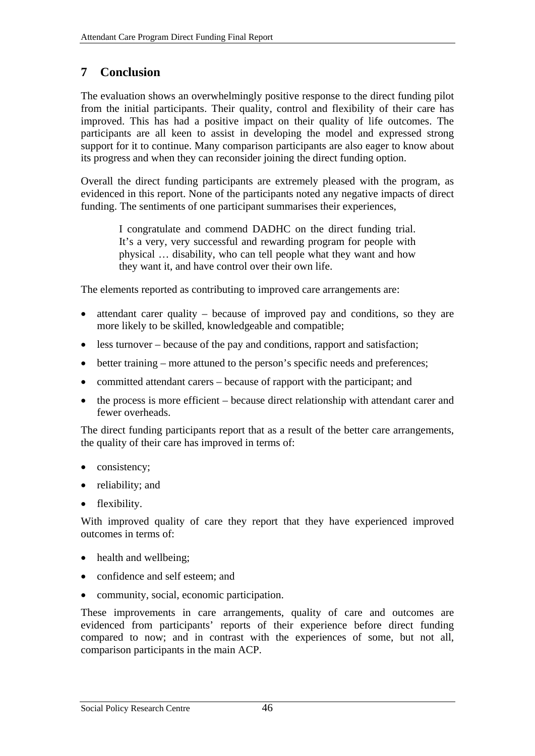# <span id="page-55-0"></span>**7 Conclusion**

The evaluation shows an overwhelmingly positive response to the direct funding pilot from the initial participants. Their quality, control and flexibility of their care has improved. This has had a positive impact on their quality of life outcomes. The participants are all keen to assist in developing the model and expressed strong support for it to continue. Many comparison participants are also eager to know about its progress and when they can reconsider joining the direct funding option.

Overall the direct funding participants are extremely pleased with the program, as evidenced in this report. None of the participants noted any negative impacts of direct funding. The sentiments of one participant summarises their experiences,

> I congratulate and commend DADHC on the direct funding trial. It's a very, very successful and rewarding program for people with physical … disability, who can tell people what they want and how they want it, and have control over their own life.

The elements reported as contributing to improved care arrangements are:

- attendant carer quality because of improved pay and conditions, so they are more likely to be skilled, knowledgeable and compatible;
- less turnover because of the pay and conditions, rapport and satisfaction;
- better training more attuned to the person's specific needs and preferences;
- committed attendant carers because of rapport with the participant; and
- the process is more efficient because direct relationship with attendant carer and fewer overheads.

The direct funding participants report that as a result of the better care arrangements, the quality of their care has improved in terms of:

- consistency;
- reliability; and
- flexibility.

With improved quality of care they report that they have experienced improved outcomes in terms of:

- health and wellbeing;
- confidence and self esteem; and
- community, social, economic participation.

These improvements in care arrangements, quality of care and outcomes are evidenced from participants' reports of their experience before direct funding compared to now; and in contrast with the experiences of some, but not all, comparison participants in the main ACP.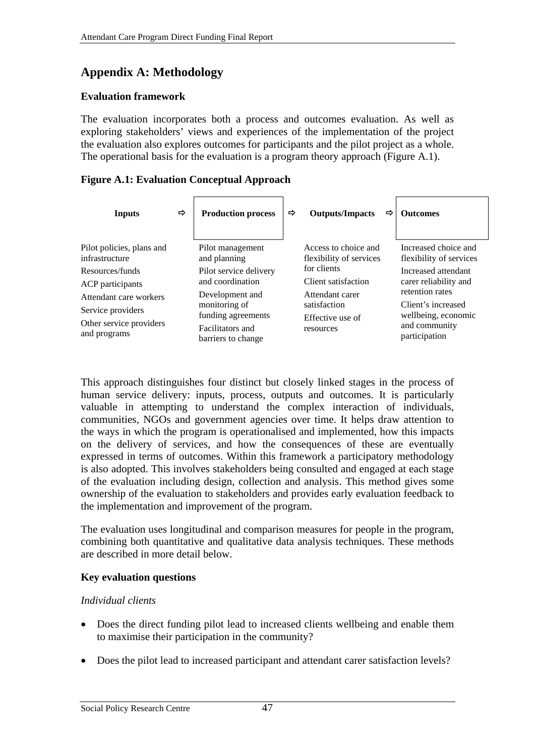# <span id="page-56-0"></span>**Appendix A: Methodology**

#### **Evaluation framework**

The evaluation incorporates both a process and outcomes evaluation. As well as exploring stakeholders' views and experiences of the implementation of the project the evaluation also explores outcomes for participants and the pilot project as a whole. The operational basis for the evaluation is a program theory approach [\(Figure A.1\)](#page-56-1).

#### <span id="page-56-1"></span>**Figure A.1: Evaluation Conceptual Approach**

| <b>Inputs</b>                                                                          | ⇨ | <b>Production process</b>                                                                        | $\Rightarrow$ | <b>Outputs/Impacts</b>                                           | ⇨ | <b>Outcomes</b>                                                                                |
|----------------------------------------------------------------------------------------|---|--------------------------------------------------------------------------------------------------|---------------|------------------------------------------------------------------|---|------------------------------------------------------------------------------------------------|
| Pilot policies, plans and<br>infrastructure                                            |   | Pilot management<br>and planning                                                                 |               | Access to choice and<br>flexibility of services                  |   | Increased choice and<br>flexibility of services                                                |
| Resources/funds<br><b>ACP</b> participants                                             |   | Pilot service delivery<br>and coordination                                                       |               | for clients<br>Client satisfaction                               |   | Increased attendant<br>carer reliability and                                                   |
| Attendant care workers<br>Service providers<br>Other service providers<br>and programs |   | Development and<br>monitoring of<br>funding agreements<br>Facilitators and<br>barriers to change |               | Attendant carer<br>satisfaction<br>Effective use of<br>resources |   | retention rates<br>Client's increased<br>wellbeing, economic<br>and community<br>participation |

This approach distinguishes four distinct but closely linked stages in the process of human service delivery: inputs, process, outputs and outcomes. It is particularly valuable in attempting to understand the complex interaction of individuals, communities, NGOs and government agencies over time. It helps draw attention to the ways in which the program is operationalised and implemented, how this impacts on the delivery of services, and how the consequences of these are eventually expressed in terms of outcomes. Within this framework a participatory methodology is also adopted. This involves stakeholders being consulted and engaged at each stage of the evaluation including design, collection and analysis. This method gives some ownership of the evaluation to stakeholders and provides early evaluation feedback to the implementation and improvement of the program.

The evaluation uses longitudinal and comparison measures for people in the program, combining both quantitative and qualitative data analysis techniques. These methods are described in more detail below.

#### **Key evaluation questions**

## *Individual clients*

- Does the direct funding pilot lead to increased clients wellbeing and enable them to maximise their participation in the community?
- Does the pilot lead to increased participant and attendant carer satisfaction levels?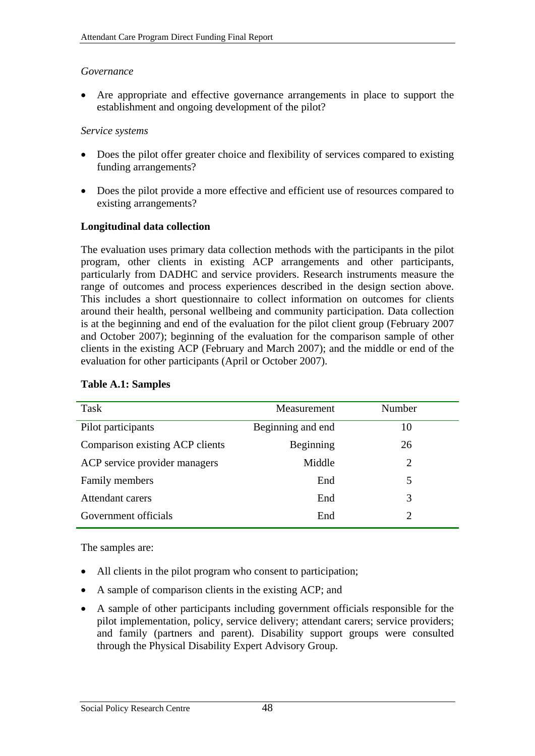#### <span id="page-57-0"></span>*Governance*

• Are appropriate and effective governance arrangements in place to support the establishment and ongoing development of the pilot?

#### *Service systems*

- Does the pilot offer greater choice and flexibility of services compared to existing funding arrangements?
- Does the pilot provide a more effective and efficient use of resources compared to existing arrangements?

## **Longitudinal data collection**

The evaluation uses primary data collection methods with the participants in the pilot program, other clients in existing ACP arrangements and other participants, particularly from DADHC and service providers. Research instruments measure the range of outcomes and process experiences described in the design section above. This includes a short questionnaire to collect information on outcomes for clients around their health, personal wellbeing and community participation. Data collection is at the beginning and end of the evaluation for the pilot client group (February 2007 and October 2007); beginning of the evaluation for the comparison sample of other clients in the existing ACP (February and March 2007); and the middle or end of the evaluation for other participants (April or October 2007).

| Task                            | Measurement       | Number |
|---------------------------------|-------------------|--------|
| Pilot participants              | Beginning and end | 10     |
| Comparison existing ACP clients | Beginning         | 26     |
| ACP service provider managers   | Middle            | 2      |
| Family members                  | End               | 5      |
| Attendant carers                | End               | 3      |
| Government officials            | End               |        |

#### **Table A.1: Samples**

The samples are:

- All clients in the pilot program who consent to participation;
- A sample of comparison clients in the existing ACP; and
- A sample of other participants including government officials responsible for the pilot implementation, policy, service delivery; attendant carers; service providers; and family (partners and parent). Disability support groups were consulted through the Physical Disability Expert Advisory Group.